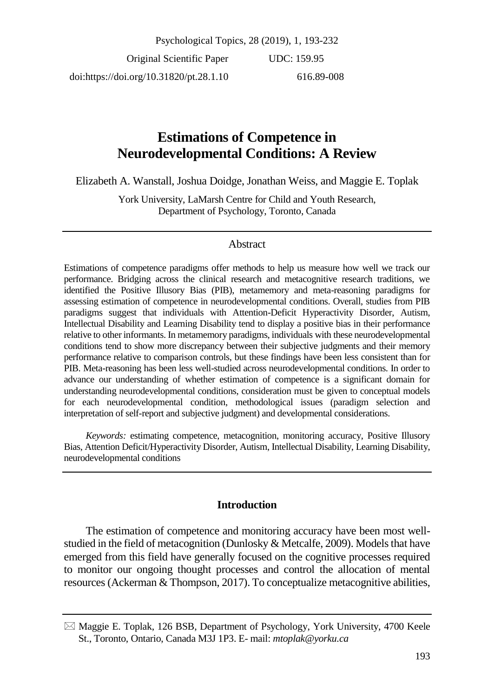Psychological Topics, 28 (2019), 1, 193-232

Original Scientific Paper doi:https://doi.org/10.31820/pt.28.1.10 UDC: 159.95 616.89-008

# **Estimations of Competence in Neurodevelopmental Conditions: A Review**

Elizabeth A. Wanstall, Joshua Doidge, Jonathan Weiss, and Maggie E. Toplak

York University, LaMarsh Centre for Child and Youth Research, Department of Psychology, Toronto, Canada

#### Abstract

Estimations of competence paradigms offer methods to help us measure how well we track our performance. Bridging across the clinical research and metacognitive research traditions, we identified the Positive Illusory Bias (PIB), metamemory and meta-reasoning paradigms for assessing estimation of competence in neurodevelopmental conditions. Overall, studies from PIB paradigms suggest that individuals with Attention-Deficit Hyperactivity Disorder, Autism, Intellectual Disability and Learning Disability tend to display a positive bias in their performance relative to other informants. In metamemory paradigms, individuals with these neurodevelopmental conditions tend to show more discrepancy between their subjective judgments and their memory performance relative to comparison controls, but these findings have been less consistent than for PIB. Meta-reasoning has been less well-studied across neurodevelopmental conditions. In order to advance our understanding of whether estimation of competence is a significant domain for understanding neurodevelopmental conditions, consideration must be given to conceptual models for each neurodevelopmental condition, methodological issues (paradigm selection and interpretation of self-report and subjective judgment) and developmental considerations.

*Keywords:* estimating competence, metacognition, monitoring accuracy, Positive Illusory Bias, Attention Deficit/Hyperactivity Disorder, Autism, Intellectual Disability, Learning Disability, neurodevelopmental conditions

#### **Introduction**

The estimation of competence and monitoring accuracy have been most wellstudied in the field of metacognition (Dunlosky & Metcalfe, 2009). Models that have emerged from this field have generally focused on the cognitive processes required to monitor our ongoing thought processes and control the allocation of mental resources (Ackerman & Thompson, 2017). To conceptualize metacognitive abilities,

 $\boxtimes$  Maggie E. Toplak, 126 BSB, Department of Psychology, York University, 4700 Keele St., Toronto, Ontario, Canada M3J 1P3. E- mail: *mtoplak@yorku.ca*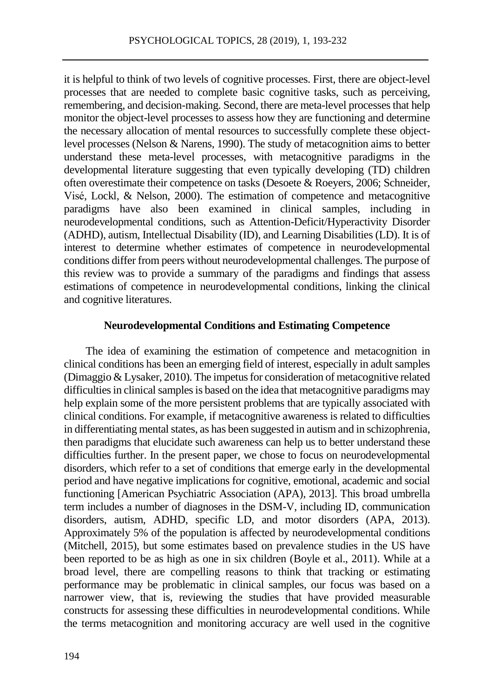it is helpful to think of two levels of cognitive processes. First, there are object-level processes that are needed to complete basic cognitive tasks, such as perceiving, remembering, and decision-making. Second, there are meta-level processes that help monitor the object-level processes to assess how they are functioning and determine the necessary allocation of mental resources to successfully complete these objectlevel processes (Nelson & Narens, 1990). The study of metacognition aims to better understand these meta-level processes, with metacognitive paradigms in the developmental literature suggesting that even typically developing (TD) children often overestimate their competence on tasks (Desoete & Roeyers, 2006; Schneider, Visé, Lockl, & Nelson, 2000). The estimation of competence and metacognitive paradigms have also been examined in clinical samples, including in neurodevelopmental conditions, such as Attention-Deficit/Hyperactivity Disorder (ADHD), autism, Intellectual Disability (ID), and Learning Disabilities (LD). It is of interest to determine whether estimates of competence in neurodevelopmental conditions differ from peers without neurodevelopmental challenges. The purpose of this review was to provide a summary of the paradigms and findings that assess estimations of competence in neurodevelopmental conditions, linking the clinical and cognitive literatures.

#### **Neurodevelopmental Conditions and Estimating Competence**

The idea of examining the estimation of competence and metacognition in clinical conditions has been an emerging field of interest, especially in adult samples (Dimaggio & Lysaker, 2010). The impetus for consideration of metacognitive related difficulties in clinical samples is based on the idea that metacognitive paradigms may help explain some of the more persistent problems that are typically associated with clinical conditions. For example, if metacognitive awareness is related to difficulties in differentiating mental states, as has been suggested in autism and in schizophrenia, then paradigms that elucidate such awareness can help us to better understand these difficulties further. In the present paper, we chose to focus on neurodevelopmental disorders, which refer to a set of conditions that emerge early in the developmental period and have negative implications for cognitive, emotional, academic and social functioning [American Psychiatric Association (APA), 2013]. This broad umbrella term includes a number of diagnoses in the DSM-V, including ID, communication disorders, autism, ADHD, specific LD, and motor disorders (APA, 2013). Approximately 5% of the population is affected by neurodevelopmental conditions (Mitchell, 2015), but some estimates based on prevalence studies in the US have been reported to be as high as one in six children (Boyle et al., 2011). While at a broad level, there are compelling reasons to think that tracking or estimating performance may be problematic in clinical samples, our focus was based on a narrower view, that is, reviewing the studies that have provided measurable constructs for assessing these difficulties in neurodevelopmental conditions. While the terms metacognition and monitoring accuracy are well used in the cognitive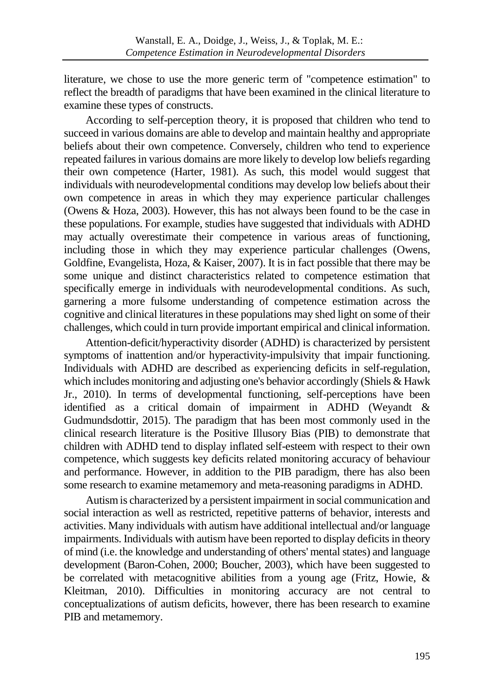literature, we chose to use the more generic term of "competence estimation" to reflect the breadth of paradigms that have been examined in the clinical literature to examine these types of constructs.

According to self-perception theory, it is proposed that children who tend to succeed in various domains are able to develop and maintain healthy and appropriate beliefs about their own competence. Conversely, children who tend to experience repeated failures in various domains are more likely to develop low beliefs regarding their own competence (Harter, 1981). As such, this model would suggest that individuals with neurodevelopmental conditions may develop low beliefs about their own competence in areas in which they may experience particular challenges (Owens & Hoza, 2003). However, this has not always been found to be the case in these populations. For example, studies have suggested that individuals with ADHD may actually overestimate their competence in various areas of functioning, including those in which they may experience particular challenges (Owens, Goldfine, Evangelista, Hoza, & Kaiser, 2007). It is in fact possible that there may be some unique and distinct characteristics related to competence estimation that specifically emerge in individuals with neurodevelopmental conditions. As such, garnering a more fulsome understanding of competence estimation across the cognitive and clinical literatures in these populations may shed light on some of their challenges, which could in turn provide important empirical and clinical information.

Attention-deficit/hyperactivity disorder (ADHD) is characterized by persistent symptoms of inattention and/or hyperactivity-impulsivity that impair functioning. Individuals with ADHD are described as experiencing deficits in self-regulation, which includes monitoring and adjusting one's behavior accordingly (Shiels & Hawk) Jr., 2010). In terms of developmental functioning, self-perceptions have been identified as a critical domain of impairment in ADHD (Weyandt & Gudmundsdottir, 2015). The paradigm that has been most commonly used in the clinical research literature is the Positive Illusory Bias (PIB) to demonstrate that children with ADHD tend to display inflated self-esteem with respect to their own competence, which suggests key deficits related monitoring accuracy of behaviour and performance. However, in addition to the PIB paradigm, there has also been some research to examine metamemory and meta-reasoning paradigms in ADHD.

Autism is characterized by a persistent impairment in social communication and social interaction as well as restricted, repetitive patterns of behavior, interests and activities. Many individuals with autism have additional intellectual and/or language impairments. Individuals with autism have been reported to display deficits in theory of mind (i.e. the knowledge and understanding of others' mental states) and language development (Baron-Cohen, 2000; Boucher, 2003), which have been suggested to be correlated with metacognitive abilities from a young age (Fritz, Howie, & Kleitman, 2010). Difficulties in monitoring accuracy are not central to conceptualizations of autism deficits, however, there has been research to examine PIB and metamemory.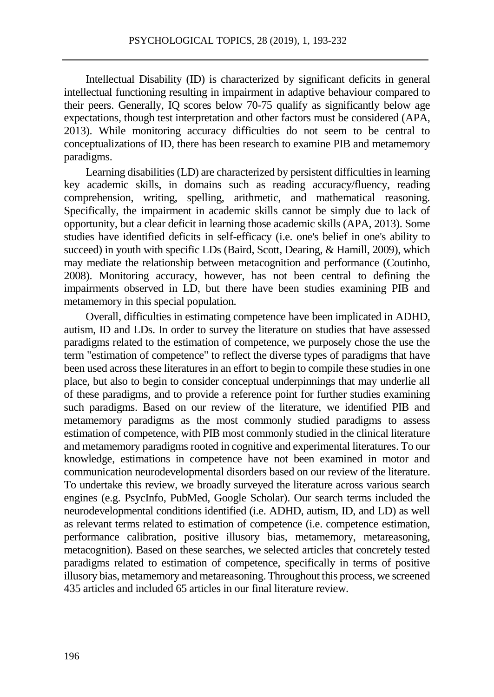Intellectual Disability (ID) is characterized by significant deficits in general intellectual functioning resulting in impairment in adaptive behaviour compared to their peers. Generally, IQ scores below 70-75 qualify as significantly below age expectations, though test interpretation and other factors must be considered (APA, 2013). While monitoring accuracy difficulties do not seem to be central to conceptualizations of ID, there has been research to examine PIB and metamemory paradigms.

Learning disabilities (LD) are characterized by persistent difficulties in learning key academic skills, in domains such as reading accuracy/fluency, reading comprehension, writing, spelling, arithmetic, and mathematical reasoning. Specifically, the impairment in academic skills cannot be simply due to lack of opportunity, but a clear deficit in learning those academic skills (APA, 2013). Some studies have identified deficits in self-efficacy (i.e. one's belief in one's ability to succeed) in youth with specific LDs (Baird, Scott, Dearing, & Hamill, 2009), which may mediate the relationship between metacognition and performance (Coutinho, 2008). Monitoring accuracy, however, has not been central to defining the impairments observed in LD, but there have been studies examining PIB and metamemory in this special population.

Overall, difficulties in estimating competence have been implicated in ADHD, autism, ID and LDs. In order to survey the literature on studies that have assessed paradigms related to the estimation of competence, we purposely chose the use the term "estimation of competence" to reflect the diverse types of paradigms that have been used across these literatures in an effort to begin to compile these studies in one place, but also to begin to consider conceptual underpinnings that may underlie all of these paradigms, and to provide a reference point for further studies examining such paradigms. Based on our review of the literature, we identified PIB and metamemory paradigms as the most commonly studied paradigms to assess estimation of competence, with PIB most commonly studied in the clinical literature and metamemory paradigms rooted in cognitive and experimental literatures. To our knowledge, estimations in competence have not been examined in motor and communication neurodevelopmental disorders based on our review of the literature. To undertake this review, we broadly surveyed the literature across various search engines (e.g. PsycInfo, PubMed, Google Scholar). Our search terms included the neurodevelopmental conditions identified (i.e. ADHD, autism, ID, and LD) as well as relevant terms related to estimation of competence (i.e. competence estimation, performance calibration, positive illusory bias, metamemory, metareasoning, metacognition). Based on these searches, we selected articles that concretely tested paradigms related to estimation of competence, specifically in terms of positive illusory bias, metamemory and metareasoning. Throughout this process, we screened 435 articles and included 65 articles in our final literature review.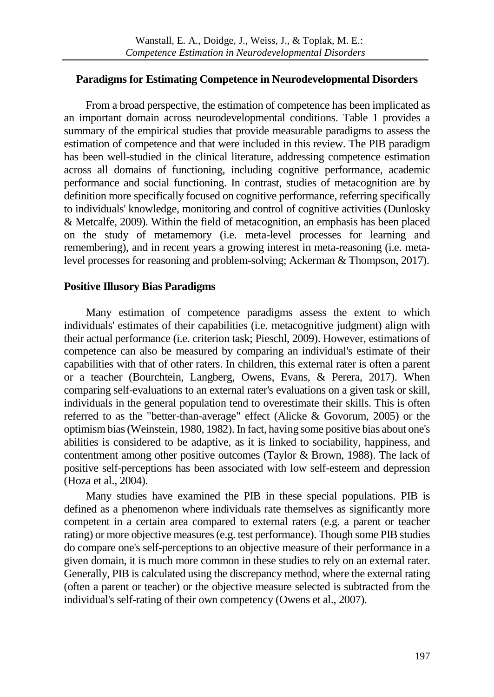#### **Paradigms for Estimating Competence in Neurodevelopmental Disorders**

From a broad perspective, the estimation of competence has been implicated as an important domain across neurodevelopmental conditions. Table 1 provides a summary of the empirical studies that provide measurable paradigms to assess the estimation of competence and that were included in this review. The PIB paradigm has been well-studied in the clinical literature, addressing competence estimation across all domains of functioning, including cognitive performance, academic performance and social functioning. In contrast, studies of metacognition are by definition more specifically focused on cognitive performance, referring specifically to individuals' knowledge, monitoring and control of cognitive activities (Dunlosky & Metcalfe, 2009). Within the field of metacognition, an emphasis has been placed on the study of metamemory (i.e. meta-level processes for learning and remembering), and in recent years a growing interest in meta-reasoning (i.e. metalevel processes for reasoning and problem-solving; Ackerman & Thompson, 2017).

## **Positive Illusory Bias Paradigms**

Many estimation of competence paradigms assess the extent to which individuals' estimates of their capabilities (i.e. metacognitive judgment) align with their actual performance (i.e. criterion task; Pieschl, 2009). However, estimations of competence can also be measured by comparing an individual's estimate of their capabilities with that of other raters. In children, this external rater is often a parent or a teacher (Bourchtein, Langberg, Owens, Evans, & Perera, 2017). When comparing self-evaluations to an external rater's evaluations on a given task or skill, individuals in the general population tend to overestimate their skills. This is often referred to as the "better-than-average" effect (Alicke & Govorum, 2005) or the optimism bias (Weinstein, 1980, 1982). In fact, having some positive bias about one's abilities is considered to be adaptive, as it is linked to sociability, happiness, and contentment among other positive outcomes (Taylor & Brown, 1988). The lack of positive self-perceptions has been associated with low self-esteem and depression (Hoza et al., 2004).

Many studies have examined the PIB in these special populations. PIB is defined as a phenomenon where individuals rate themselves as significantly more competent in a certain area compared to external raters (e.g. a parent or teacher rating) or more objective measures (e.g. test performance). Though some PIB studies do compare one's self-perceptions to an objective measure of their performance in a given domain, it is much more common in these studies to rely on an external rater. Generally, PIB is calculated using the discrepancy method, where the external rating (often a parent or teacher) or the objective measure selected is subtracted from the individual's self-rating of their own competency (Owens et al., 2007).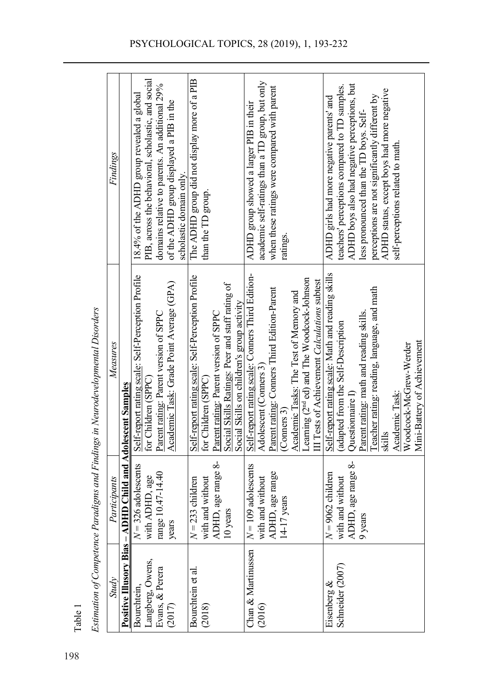| Study                       | Participants                            | Measures                                               | Findings                                           |
|-----------------------------|-----------------------------------------|--------------------------------------------------------|----------------------------------------------------|
| Positive Illusory Bias $-A$ |                                         | <b>DHD Child and Adolescent Samples</b>                |                                                    |
| Bourchtein,                 | $N = 326$ adolescents                   | Self-report rating scale: Self-Perception Profile      | 18.4% of the ADHD group revealed a global          |
| Langberg, Owens,            | with ADHD, age                          | for Children (SPPC)                                    | PIB, across the behavioral, scholastic, and social |
| Evans, & Perera             | range 10.47-14.40                       | Parent rating: Parent version of SPPC                  | domains relative to parents. An additional 29%     |
| (2017)                      | years                                   | Academic Task: Grade Point Average (GPA)               | of the ADHD group displayed a PIB in the           |
|                             |                                         |                                                        | scholastic domain only.                            |
| Bourchtein et al            | 233 children<br>$\geq$                  | Self-report rating scale: Self-Perception Profile      | The ADHD group did not display more of a PIB       |
| (2018)                      | n and without<br>with                   | for Children (SPPC)                                    | than the TD group.                                 |
|                             | HD, age range 8-<br>ADHD, a<br>10 years | Parent rating: Parent version of SPPC                  |                                                    |
|                             |                                         | Social Skills Ratings: Peer and staff rating of        |                                                    |
|                             |                                         | Social Skills on children's group activity             |                                                    |
| Chan & Martinussen          | $N = 109$ adolescents                   | Self-report rating scale: Conners Third Edition-       | ADHD group showed a larger PIB in their            |
| (2016)                      | h and without<br>$\ddot{x}$             | Adolescent (Conners 3)                                 | academic self-ratings than a TD group, but only    |
|                             | HD, age range<br>$\frac{14}{1}$         | Parent rating: Conners Third Edition-Parent            | when these ratings were compared with parent       |
|                             | 17 years                                | (Comers 3)                                             | ratings.                                           |
|                             |                                         | Academic Tasks: The Test of Memory and                 |                                                    |
|                             |                                         | Learning (2 <sup>nd</sup> ed) and The Woodcock-Johnson |                                                    |
|                             |                                         | III Tests of Achievement Calculations subtest          |                                                    |
| Eisenberg &                 | 9062 children<br>$N =$                  | Self-report rating scale: Math and reading skills      | ADHD girls had more negative parents' and          |
| Schneider (2007)            | with and without                        | (adapted from the Self-Description                     | teachers' perceptions compared to TD samples.      |
|                             | ADHD, age range 8-                      | Questionnaire I)                                       | ADHD boys also had negative perceptions, but       |
|                             | 9 years                                 | Parent rating: math and reading skills.                | less pronounced than the TD boys. Self-            |
|                             |                                         | Teacher rating: reading, language, and math            | perceptions are not significantly different by     |
|                             |                                         | skills                                                 | ADHD status, except boys had more negative         |
|                             |                                         | Academic Task:                                         | self-perceptions related to math.                  |
|                             |                                         | Woodcock-McGrew-Werder                                 |                                                    |
|                             |                                         | Mini-Battery of Achievement                            |                                                    |

Estimation of Competence Paradigms and Findings in Neurodevelopmental Disorders *Estimation of Competence Paradigms and Findings in Neurodevelopmental Disorders* 

Table 1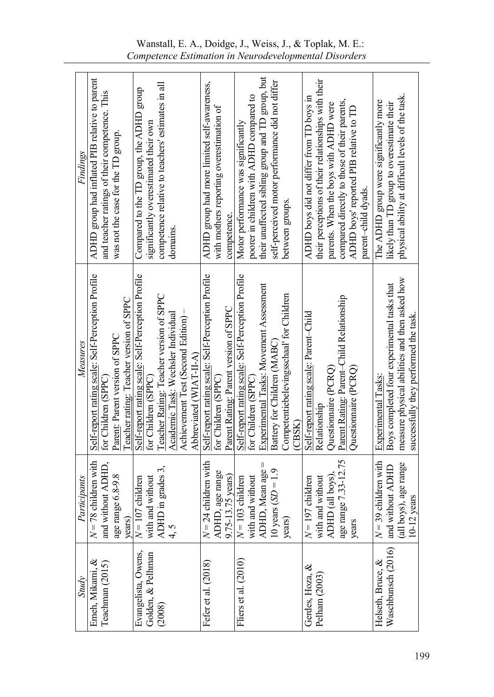| <b>Study</b>                             | Participants                                                 | Measures                                                                              | Findings                                                                                        |
|------------------------------------------|--------------------------------------------------------------|---------------------------------------------------------------------------------------|-------------------------------------------------------------------------------------------------|
| Emeh, Mikami, &<br>Teachman (2015)       | $N = 78$ children with<br>and without ADHD,                  | Self-report rating scale: Self-Perception Profile<br>for Children (SPPC               | ADHD group had inflated PIB relative to parent<br>and teacher ratings of their competence. This |
|                                          | age range 6.8-9.8<br>years)                                  | Teacher rating: Teacher version of SPPC<br>Parent: Parent version of SPPC             | was not the case for the TD group.                                                              |
| Evangelista, Owens,<br>Golden, & Pelhman | th and without<br>$N = 107$ children<br>wit                  | Self-report rating scale: Self-Perception Profile<br>for Children (SPPC               | Compared to the TD group, the ADHD group<br>significantly overestimated their own               |
| (2008)                                   | ADHD in grades 3,                                            | Teacher Rating: Teacher version of SPPC<br>Academic Task: Wechsler Individual         | competence relative to teachers' estimates in all<br>domains                                    |
|                                          |                                                              | Achievement Test (Second Edition)<br>Abbreviated (WIAT-II-A                           |                                                                                                 |
| Fefer et al. (2018)                      | $N = 24$ children with                                       | Self-report rating scale: Self-Perception Profile                                     | ADHD group had more limited self-awareness,                                                     |
|                                          | JHD, age range<br>9.75-13.75 years)<br>K                     | Parent Rating: Parent version of SPPC<br>for Children (SPPC)                          | with mothers reporting overestimation of<br>competence.                                         |
| Fliers et al. (2010)                     | with and without<br>$N = 103$ children                       | Self-report rating scale: Self-Perception Profile<br>for Children (SPPC               | poorer in children with ADHD compared to<br>Motor performance was significantly                 |
|                                          | Ш<br>ADHD, Mean age<br>10 years $(SD = 1.9$                  | Experimental Tasks: Movement Assessment                                               | their unaffected sibling group and TD group, but                                                |
|                                          |                                                              | Battery for Children (MABC                                                            | self-perceived motor performance did not differ                                                 |
|                                          | years)                                                       | Competentiebelevingsschaal' for Children<br>CBSK                                      | between groups                                                                                  |
| Gerdes, Hoza, &                          | $N = 197$ children                                           | Self-report rating scale: Parent-Child                                                | ADHD boys did not differ from TD boys in                                                        |
| Pelham (2003)                            | with and without<br>ADHD (all boys),                         | Questionnaire (PCRQ)<br>Relationship                                                  | their perceptions of their relationships with their<br>parents. When the boys with ADHD were    |
|                                          | age range 7.33-12.75<br>years                                | Parent Rating: Parent-Child Relationship                                              | compared directly to those of their parents,                                                    |
|                                          |                                                              | Questionnaire (PCRQ)                                                                  | ADHD boys' reported PIB relative to TD<br>parent-child dyads.                                   |
| Helseth, Bruce, &                        | $N = 39$ children with                                       | Experimental Tasks:                                                                   | The ADHD group were significantly more                                                          |
| Waschbunsch (2016)                       | and without ADHD                                             | Boys completed four experimental tasks that                                           | likely than TD group to overestimate their                                                      |
|                                          | boys), age range<br>$10-12$ years<br>$\overline{\mathbb{E}}$ | measure physical abilities and then asked how<br>successfully they performed the task | physical ability at difficult levels of the task.                                               |
|                                          |                                                              |                                                                                       |                                                                                                 |

Wanstall, E. A., Doidge, J., Weiss, J., & Toplak, M. E.: *Competence Estimation in Neurodevelopmental Disorders*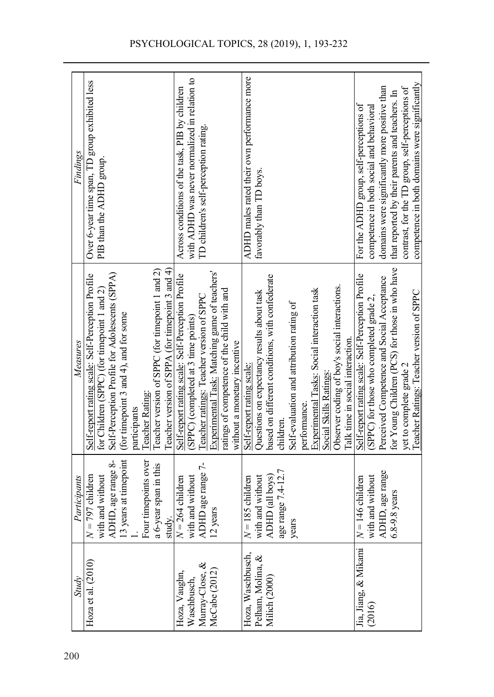| Study                | Participants                                                                                  | Measures                                          | Findings                                        |
|----------------------|-----------------------------------------------------------------------------------------------|---------------------------------------------------|-------------------------------------------------|
|                      |                                                                                               |                                                   |                                                 |
| Hoza et al. (2010)   | $N = 797$ children                                                                            | Self-report rating scale: Self-Perception Profile | Over 6-year time span, TD group exhibited less  |
|                      |                                                                                               | for Children (SPPC) (for timepoint 1 and 2)       | PIB than the ADHD group.                        |
|                      |                                                                                               | Self-Perception Profile for Adolescents (SPPA)    |                                                 |
|                      |                                                                                               | (for timepoint 3 and 4), and for some             |                                                 |
|                      |                                                                                               | participants                                      |                                                 |
|                      | with and without<br>ADHD, age range 8-<br>13 years at timepoint<br>1.<br>Four timepoints over | Teacher Rating                                    |                                                 |
|                      | a 6-year span in this                                                                         | Teacher version of SPPC (for timepoint 1 and 2)   |                                                 |
|                      |                                                                                               | Teacher version of SPPA (for timepoint 3 and 4)   |                                                 |
| Hoza, Vaughn,        | study.<br>$N = 264$ children                                                                  | Self-report rating scale: Self-Perception Profile | Across conditions of the task, PIB by children  |
| Waschbusch,          | with and without ADHD age range $7-$                                                          | (SPPC) (completed at 3 time points)               | with ADHD was never normalized in relation to   |
| Murray-Close, &      |                                                                                               | Teacher ratings: Teacher version of SPPC          | TD children's self-perception rating.           |
| McCabe (2012)        | years<br>$\overline{12}$                                                                      | Experimental Task: Matching game of teachers'     |                                                 |
|                      |                                                                                               | ratings of competence of the child with and       |                                                 |
|                      |                                                                                               | without a monetary incentive                      |                                                 |
| Hoza, Waschbusch,    | $N = 185$ children                                                                            | Self-report rating scale:                         | ADHD males rated their own performance more     |
| Pelham, Molina, &    |                                                                                               | Questions on expectancy results about task        | favorably than TD boys.                         |
| Milich (2000)        | with and without<br>ADHD (all boys)                                                           | based on different conditions, with confederate   |                                                 |
|                      | age range 7.4-12.7                                                                            | children                                          |                                                 |
|                      | years                                                                                         | Self-evaluation and attribution rating of         |                                                 |
|                      |                                                                                               | performance.                                      |                                                 |
|                      |                                                                                               | Experimental Tasks: Social interaction task       |                                                 |
|                      |                                                                                               | <b>Social Skills Ratings</b>                      |                                                 |
|                      |                                                                                               | Observer coding of boy's social interactions.     |                                                 |
|                      |                                                                                               | Talk time in social interaction.                  |                                                 |
| Jia, Jiang, & Mikami | $N = 146$ children                                                                            | Self-report rating scale: Self-Perception Profile | For the ADHD group, self-perceptions of         |
| (2016)               |                                                                                               | (SPPC) for those who completed grade 2,           | competence in both social and behavioral        |
|                      | with and without<br>ADHD, age range<br>6.8-9.8 years                                          | Perceived Competence and Social Acceptance        | domains were significantly more positive than   |
|                      |                                                                                               | for Young Children (PCS) for those in who have    | that reported by their parents and teachers. In |
|                      |                                                                                               | yet to complete grade 2                           | contrast, for the TD group, self-perceptions of |
|                      |                                                                                               | Teacher Ratings: Teacher version of SPPC          | competence in both domains were significantly   |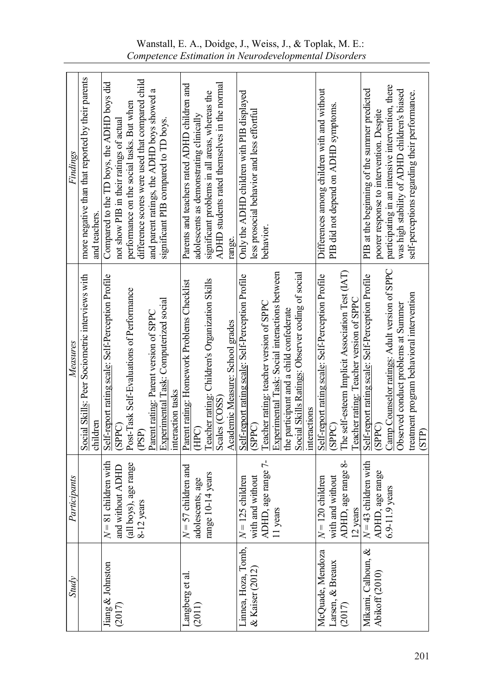| <b>Study</b>               | Participants                                                                | Measures                                                         | Findings                                                                                       |
|----------------------------|-----------------------------------------------------------------------------|------------------------------------------------------------------|------------------------------------------------------------------------------------------------|
|                            |                                                                             | Social Skills: Peer Sociometric interviews with<br>children      | more negative than that reported by their parents<br>and teachers.                             |
| Jiang & Johnston (2017)    | $N = 81$ children with                                                      | Self-report rating scale: Self-Perception Profile<br><b>CadS</b> | Compared to the TD boys, the ADHD boys did<br>not show PIB in their ratings of actual          |
|                            | boys), age range<br>and without ADHD<br>(all boys), age range<br>8-12 years | Post-Task Self-Evaluations of Performance<br>(PSP)               | difference scores were used that compared child<br>performance on the social tasks. But when   |
|                            |                                                                             | Parent rating: Parent version of SPPC                            | and parent ratings, the ADHD boys showed a                                                     |
|                            |                                                                             | Experimental Task: Computerized social<br>interaction tasks      | significant PIB compared to TD boys.                                                           |
| Langberg et al.<br>(2011)  | $N = 57$ children and                                                       | Parent rating: Homework Problems Checklist                       | Parents and teachers rated ADHD children and                                                   |
|                            | adolescents, age                                                            | し<br>田                                                           | adolescents as demonstrating clinically                                                        |
|                            | range 10-14 years                                                           | Teacher rating: Children's Organization Skills<br>Scales (COSS)  | ADHD students rated themselves in the normal<br>significant problems in all areas, whereas the |
|                            |                                                                             | Academic Measure: School grades                                  | range.                                                                                         |
| Linnea, Hoza, Tomb,        | $N = 125$ children                                                          | Self-report rating scale: Self-Perception Profile                | Only the ADHD children with PIB displayed                                                      |
| & Kaiser (2012)            |                                                                             | SPPC                                                             | less prosocial behavior and less effortful                                                     |
|                            | with and without ADHD, age range $7-$                                       | Teacher rating: teacher version of SPPC                          | behavior.                                                                                      |
|                            | 11 years                                                                    | Experimental Task: Social interactions between                   |                                                                                                |
|                            |                                                                             | the participant and a child confederate                          |                                                                                                |
|                            |                                                                             | Social Skills Ratings: Observer coding of social<br>interactions |                                                                                                |
| McQuade, Mendoza           | $N = 120$ children                                                          |                                                                  |                                                                                                |
|                            |                                                                             | Self-report rating scale: Self-Perception Profile<br>(SPPC)      | Differences among children with and without<br>PIB did not depend on ADHD symptoms.            |
| Larsen, & Breaux<br>(2017) | with and without<br>ADHD, age range 8-                                      | The self-esteem Implicit Association Test (IAT)                  |                                                                                                |
|                            | 12 years<br>$N = 43$ children with                                          | Teacher rating: Teacher version of SPPC                          |                                                                                                |
| Mikami, Calhoun, &         |                                                                             | Self-report rating scale: Self-Perception Profile                | PIB at the beginning of the summer predicted                                                   |
| Abikoff (2010)             | ADHD, age range<br>6.9-11.9 years                                           | $C^{\text{SPPC}}$                                                | poorer response to intervention. Despite                                                       |
|                            |                                                                             | Camp Counselor ratings: Adult version of SPPC                    | participating in an intensive intervention, there                                              |
|                            |                                                                             | Observed conduct problems at Summer                              | was high stability of ADHD children's biased                                                   |
|                            |                                                                             | treatment program behavioral intervention                        | self-perceptions regarding their performance.                                                  |
|                            |                                                                             | (STP)                                                            |                                                                                                |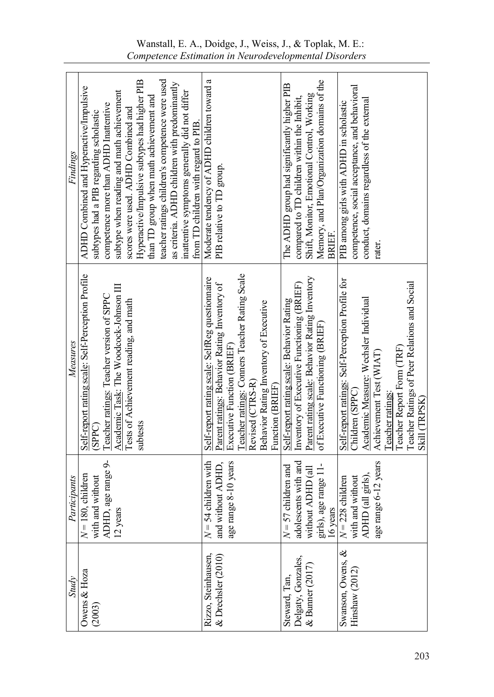| Findings     | Hyperactive/Impulsive subtypes had higher PIB<br>teacher ratings children's competence were used<br>as criteria. ADHD children with predominantly<br>ADHD Combined and Hyperactive/Impulsive<br>subtype when reading and math achievement<br>inattentive symptoms generally did not differ<br>than TD group when math achievement and<br>competence more than ADHD Inattentive<br>scores were used. ADHD Combined and<br>subtypes had a PIB regarding scholastic<br>from TD children with regard to PIB. | Moderate tendency of ADHD children toward a<br>PIB relative to TD group.                                                                                                                                                                                         | Memory, and Plan/Organization domains of the<br>The ADHD group had significantly higher PIB<br>Shift, Monitor, Emotional Control, Working<br>compared to TD children within the Inhibit,<br>BRIEF. | competence, social acceptance, and behavioral<br>conduct, domains regardless of the external<br>PIB among girls with ADHD in scholastic<br>rater.                                                                                                         |
|--------------|----------------------------------------------------------------------------------------------------------------------------------------------------------------------------------------------------------------------------------------------------------------------------------------------------------------------------------------------------------------------------------------------------------------------------------------------------------------------------------------------------------|------------------------------------------------------------------------------------------------------------------------------------------------------------------------------------------------------------------------------------------------------------------|----------------------------------------------------------------------------------------------------------------------------------------------------------------------------------------------------|-----------------------------------------------------------------------------------------------------------------------------------------------------------------------------------------------------------------------------------------------------------|
| Measures     | Self-report rating scale: Self-Perception Profile<br>Academic Task: The Woodcock-Johnson III<br>Teacher ratings: Teacher version of SPPC<br>Tests of Achievement reading, and math<br>subtests<br>(SPPC)                                                                                                                                                                                                                                                                                                 | Teacher ratings: Conners Teacher Rating Scale<br>Self-report rating scale: SelfReg questionnaire<br>Parent ratings: Behavior Rating Inventory of<br>Behavior Rating Inventory of Executive<br>Executive Function (BRIEF)<br>Revised (CTRS-R)<br>Function (BRIEF) | Parent rating scale: Behavior Rating Inventory<br>Inventory of Executive Functioning (BRIEF)<br>Self-report rating scale: Behavior Rating<br>of Executive Functioning (BRIEF)                      | Self-report ratings: Self-Perception Profile for<br>Teacher Ratings of Peer Relations and Social<br>Academic Measure: Wechsler Individual<br>Teacher Report Form (TRF)<br>Achievement Test (WIAT)<br>Children (SPPC)<br>Teacher ratings:<br>Skill (TRPSK) |
| Participants | ADHD, age range 9- $12$ years<br>$N = 180$ , children<br>with and without                                                                                                                                                                                                                                                                                                                                                                                                                                | age range 8-10 years<br>$N = 54$ children with<br>and without ADHD,                                                                                                                                                                                              | adolescents with and<br>girls), age range 11-<br>16 years<br>$N = 57$ children and<br>without ADHD (all                                                                                            | age range 6-12 years<br>ADHD (all girls),<br>with and without<br>$N = 228$ children                                                                                                                                                                       |
| <b>Study</b> | Owens & Hoza<br>(2003)                                                                                                                                                                                                                                                                                                                                                                                                                                                                                   | Rizzo, Steinhausen,<br>& Drechsler (2010)                                                                                                                                                                                                                        | Delgaty, Gonzales,<br>& Bunner $(2017)$<br>Steward, Tan,                                                                                                                                           | Swanson, Owens, &<br>Hinshaw (2012)                                                                                                                                                                                                                       |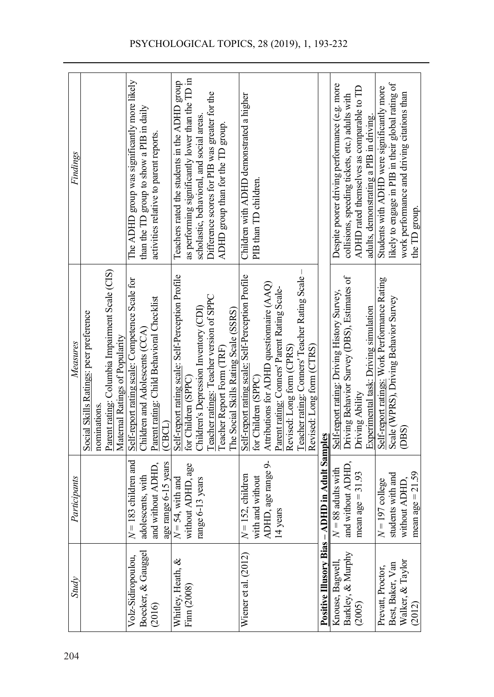| <b>Study</b>                                   | Participants                                | Measures                                                                         | Findings                                          |
|------------------------------------------------|---------------------------------------------|----------------------------------------------------------------------------------|---------------------------------------------------|
|                                                |                                             | Social Skills Ratings: peer preference<br>nominations.                           |                                                   |
|                                                |                                             | Parent rating: Columbia Impairment Scale (CIS)<br>Maternal Ratings of Popularity |                                                   |
| Volz-Sidiropoulou,                             | $N = 183$ children and                      | Self-report rating scale: Competence Scale for                                   | The ADHD group was significantly more likely      |
| Boecker, & Gauggel                             | adolescents, with                           | Children and Adolescents (CCA)                                                   | than the TD group to show a PIB in daily          |
| (2016)                                         | and without ADHD,                           | Parent rating: Child Behavioral Checklist                                        | activities relative to parent reports.            |
|                                                | age range 6-15 years<br>$N = 54$ , with and | (CBCL)                                                                           |                                                   |
| Whitley, Heath, &                              |                                             | Self-report rating scale: Self-Perception Profile                                | Teachers rated the students in the ADHD group     |
| Finn (2008)                                    | hout ADHD, age<br>with                      | for Children (SPPC)                                                              | as performing significantly lower than the TD in  |
|                                                | range 6-13 years                            | Children's Depression Inventory (CDI)                                            | scholastic, behavioral, and social areas          |
|                                                |                                             | Teacher ratings: Teacher version of SPPC                                         | Difference scores for PIB was greater for the     |
|                                                |                                             | Teacher Report Form (TRF)                                                        | ADHD group than for the TD group.                 |
|                                                |                                             | The Social Skills Rating Scale (SSRS)                                            |                                                   |
| Wiener et al. $(2012)$                         | 152, children<br>$N =$                      | Self-report rating scale: Self-Perception Profile                                | Children with ADHD demonstrated a higher          |
|                                                | h and without<br>with                       | for Children (SPPC)                                                              | PIB than TD children.                             |
|                                                | ADHD, age range 9-                          | Attributions for ADHD questionnaire (AAQ)                                        |                                                   |
|                                                | 14 years                                    | Parent rating: Conners' Parent Rating Scale-                                     |                                                   |
|                                                |                                             | Revised: Long form (CPRS)                                                        |                                                   |
|                                                |                                             | Teacher rating: Conners' Teacher Rating Scale -                                  |                                                   |
|                                                |                                             | Revised: Long form (CTRS)                                                        |                                                   |
| <b>Positive Illusory Bias – A</b>              | <b>DHD</b> in Adult Samples                 |                                                                                  |                                                   |
| Knouse, Bagwell,                               | $N = 88$ adults with                        | Self-report rating: Driving History Survey,                                      | Despite poorer driving performance (e.g. more     |
| Barkley, & Murphy<br>(2005)                    | and without ADHD,                           | Driving Behavior Survey (DBS), Estimates of                                      | collisions, speeding tickets, etc.) adults with   |
|                                                | mean $age = 31.93$                          | Driving Ability                                                                  | ADHD rated themselves as comparable to TD         |
|                                                |                                             | Experimental task: Driving simulation                                            | adults, demonstrating a PIB in driving.           |
| Prevatt, Proctor,                              | $N = 197$ college                           | Self-report ratings: Work Performance Rating                                     | Students with ADHD were significantly more        |
|                                                | students with and<br>without ADHD,          | Scale (WPRS), Driving Behavior Survey                                            | likely to engage in PIB in their global rating of |
| Best, Baker, Van<br>Walker, & Taylor<br>(2012) |                                             | (DBS)                                                                            | work performance and driving citations than       |
|                                                | mean age $= 21.59$                          |                                                                                  | the TD group.                                     |
|                                                |                                             |                                                                                  |                                                   |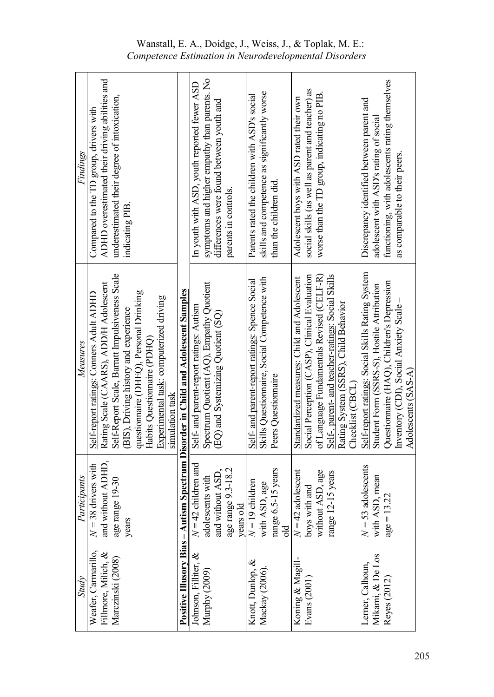| Findings     | ADHD overestimated their driving abilities and<br>underestimated their degree of intoxication,<br>Compared to the TD group, drivers with<br>indicating PIB.                                                                                                                                                       |                                                         | symptoms and higher empathy than parents. No<br>In youth with ASD, youth reported fewer ASD<br>differences were found between youth and<br>parents in controls. | skills and competence as significantly worse<br>Parents rated the children with ASD's social<br>than the children did. | social skills (as well as parent and teacher) as<br>worse than the TD group, indicating no PIB.<br>Adolescent boys with ASD rated their own                                                                                                                | functioning, with adolescents rating themselves<br>Discrepancy identified between parent and<br>adolescent with ASD's rating of social<br>as comparable to their peers.                                       |
|--------------|-------------------------------------------------------------------------------------------------------------------------------------------------------------------------------------------------------------------------------------------------------------------------------------------------------------------|---------------------------------------------------------|-----------------------------------------------------------------------------------------------------------------------------------------------------------------|------------------------------------------------------------------------------------------------------------------------|------------------------------------------------------------------------------------------------------------------------------------------------------------------------------------------------------------------------------------------------------------|---------------------------------------------------------------------------------------------------------------------------------------------------------------------------------------------------------------|
| Measures     | Self-Report Scale, Barratt Impulsiveness Scale<br>Rating Scale (CAARS), ADD/H Adolescent<br>questiomaire (DHEQ), Personal Drinking<br>Self-report ratings: Comers Adult ADHD<br>Experimental task: computerized driving<br>(BIS), Driving history and experience<br>Habits Questionnaire (PDHQ<br>simulation task | utism Spectrum Disorder in Child and Adolescent Samples | Spectrum Quotient (AQ), Empathy Quotient<br>Self- and parent-report ratings: Autism<br>(EQ) and Systemizing Quotient (SQ)                                       | Skills Questionnaire, Social Competence with<br>Self- and parent-report ratings: Spence Social<br>Peers Questionnaire  | Social Perception (CASP), Clinical Evaluation<br>Self-, parent- and teacher-ratings: Social Skills<br>Standardized measures: Child and Adolescent<br>of Language Fundamentals Revised (CELF-R)<br>Rating System (SSRS), Child Behavior<br>Checklist (CBCL) | Self-report ratings: Social Skills Rating System<br>Questionnaire (HAQ), Children's Depression<br>Student Form (SSRS-S), Hostile Attribution<br>Inventory (CDI), Social Anxiety Scale-<br>Adolescents (SAS-A) |
| Participants | and without ADHD,<br>$N = 38$ drivers with<br>age range 19-30<br>years                                                                                                                                                                                                                                            |                                                         | $N = 42$ children and<br>age range 9.3-18.2<br>and without ASD<br>adolescents with<br>years old                                                                 | range 6.5-15 years<br>$N = 19$ children<br>with ASD, age                                                               | old<br>$N = 42$ adolescent<br>boys with and<br>without ASD, age<br>ge 12-15 years<br>ran                                                                                                                                                                   | $N = 53$ adolescents<br>with ASD, mean<br>$= 13.22$<br>age                                                                                                                                                    |
| <b>Study</b> | Weafer, Carmarillo,<br>Fillmore, Milich, &<br>Marczinski (2008)                                                                                                                                                                                                                                                   | <b>Positive Illusory Bias – A</b>                       | Johnson, Filliter, &<br>Murphy (2009)                                                                                                                           | Knott, Dunlop, &<br>Mackay (2006).                                                                                     | Koning & Magill-<br>Evans (2001)                                                                                                                                                                                                                           | Mikami, & De Los<br>Lerner, Calhoun,<br>Reyes (2012)                                                                                                                                                          |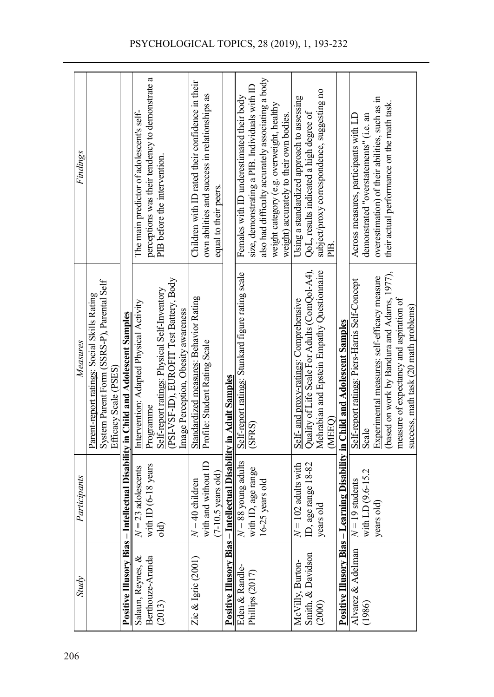| Study                            | Participants                                                              | Measures                                                                                  |                                                   |
|----------------------------------|---------------------------------------------------------------------------|-------------------------------------------------------------------------------------------|---------------------------------------------------|
|                                  |                                                                           |                                                                                           | Findings                                          |
|                                  |                                                                           | System Parent Form (SSRS-P), Parental Self<br>Parent-report ratings: Social Skills Rating |                                                   |
|                                  |                                                                           | Efficacy Scale (PSES)                                                                     |                                                   |
| <b>Positive Illusory Bias-In</b> |                                                                           | ntellectual Disability in Child and Adolescent Samples                                    |                                                   |
| Salaun, Reynes, &                | $N = 23$ adolescents                                                      | Intervention: Adapted Physical Activity                                                   | The main predictor of adolescent's self-          |
| Berthouze-Aranda                 | with $ID$ (6-18 years                                                     | Programme                                                                                 | perceptions was their tendency to demonstrate a   |
| (2013)                           | Plo                                                                       | Self-report ratings: Physical Self-Inventory                                              | PIB before the intervention.                      |
|                                  |                                                                           | (PSI-VSF-ID), EUROFIT Test Battery, Body                                                  |                                                   |
|                                  |                                                                           | Image Perception, Obesity awareness                                                       |                                                   |
| Zic & Igric (2001)               | $N=40$ children                                                           | Standardized measures: Behavior Rating                                                    | Children with ID rated their confidence in their  |
|                                  | with and without ID                                                       | Profile: Student Rating Scale                                                             | own abilities and success in relationships as     |
|                                  | $(7-10.5$ years old)                                                      |                                                                                           | equal to their peers.                             |
|                                  | <u> Positive Illusory Bias – Intellectual Disability in Adult Samples</u> |                                                                                           |                                                   |
| Eden & Randle-                   | $N = 88$ young adults                                                     | Self-report ratings: Stunkard figure rating scale                                         | Females with ID underestimated their body         |
| Phillips (2017)                  | with ID, age range                                                        | (SFRS)                                                                                    | size, demonstrating a PIB. Individuals with ID    |
|                                  | 16-25 years old                                                           |                                                                                           | also had difficulty accurately associating a body |
|                                  |                                                                           |                                                                                           | weight category (e.g. overweight, healthy         |
|                                  |                                                                           |                                                                                           | weight) accurately to their own bodies.           |
| McVilly, Burton-                 | $N = 102$ adults with                                                     | Self- and proxy-ratings: Comprehensive                                                    | Using a standardized approach to assessing        |
| Smith, & Davidson<br>(2000)      | , age range 18-82<br>白                                                    | Quality of Life Scale For Adults (ComQol-A4),                                             | QoL, results indicated a high degree of           |
|                                  | years old                                                                 | Mehrabian and Epstein Empathy Questionnaire                                               | subject/proxy correspondence, suggesting no       |
|                                  |                                                                           | <b>MEEO</b>                                                                               | ЯB.                                               |
| <b>Positive Illusory Bias –</b>  |                                                                           | earning Disability in Child and Adolescent Samples                                        |                                                   |
| Alvarez & Adelman                | $N = 19$ students                                                         | Self-report ratings: Piers-Harris Self-Concept                                            | Across measures, participants with LD             |
| (1986)                           | with LD (9.6-15.2                                                         | Scale                                                                                     | demonstrated "overstatements" (i.e. an            |
|                                  | years old)                                                                | Experimental measures: self-efficacy measure                                              | overestimation) of their abilities, such as in    |
|                                  |                                                                           | (based on work by Bandura and Adams, 1977),                                               | their actual performance on the math task.        |
|                                  |                                                                           | measure of expectancy and aspiration of<br>success, math task (20 math problems)          |                                                   |
|                                  |                                                                           |                                                                                           |                                                   |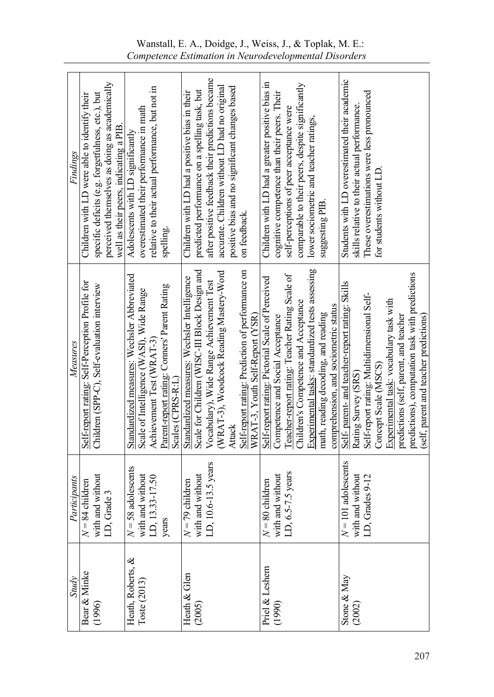| <b>Study</b>                     | Participants                                                              | Measures                                                                                                                                                                                                                                                                                                                      | Findings                                                                                                                                                                                                                                                              |
|----------------------------------|---------------------------------------------------------------------------|-------------------------------------------------------------------------------------------------------------------------------------------------------------------------------------------------------------------------------------------------------------------------------------------------------------------------------|-----------------------------------------------------------------------------------------------------------------------------------------------------------------------------------------------------------------------------------------------------------------------|
| Bear & Minke<br>(1996)           | $N = 84$ children<br>with and without<br>LD, Grade 3                      | Self-report rating: Self-Perception Profile for<br>Children (SPP-C), Self-evaluation interview                                                                                                                                                                                                                                | perceived themselves as doing as academically<br>Children with LD were able to identify their<br>specific deficits (e.g. forgetfulness, etc.), but<br>well as their peers, indicating a PIB.                                                                          |
| Heath, Roberts, &<br>Toste(2013) | $N = 58$ adolescents<br>with and without<br>LD, 13.33-17.50<br>years      | Standardized measures: Wechsler Abbreviated<br>Parent-report rating: Conners' Parent Rating<br>Scale of Intelligence (WASI), Wide Range<br>Achievement Test (WRAT-3)<br>Scales (CPRS-R:L)                                                                                                                                     | relative to their actual performance, but not in<br>overestimated their performance in math<br>Adolescents with LD significantly<br>spelling.                                                                                                                         |
| Heath & Glen<br>(2005)           | $\frac{W}{W} = 79$ children<br>with and without<br>whout modirlo $QL = N$ | Scale for Children (WISC-III Block Design and<br>(WRAT-3), Woodcock Reading Mastery-Word<br>Self-report rating: Prediction of performance on<br>Standardized measures: Wechsler Intelligence<br>Vocabulary), Wide Range Achievement Test<br>WRAT-3, Youth Self-Report (YSR)<br>Attack                                         | after positive feedback their predictions became<br>accurate. Children without LD had no original<br>positive bias and no significant changes based<br>predicted performance on a spelling task, but<br>Children with LD had a positive bias in their<br>on feedback. |
| Priel & Leshem<br>(1990)         | $N = 80$ children<br>with and without<br>without<br>LD, 6.5-7.5 years     | Experimental tasks: standardized tests assessing<br>Teacher-report rating: Teacher Rating Scale of<br>Self-report rating: Pictorial Scale of Perceived<br>Children's Competence and Acceptance<br>comprehension, and sociometric status<br>math, reading decoding, and reading<br>Competence and Social Acceptance            | Children with LD had a greater positive bias in<br>comparable to their peers, despite significantly<br>cognitive competence than their peers. Their<br>self-perceptions of peer acceptance were<br>lower sociometric and teacher ratings,<br>suggesting PIB.          |
| Stone & May<br>(2002)            | $N = 101$ adolescents<br>with and without<br>LD, Grades 9-12              | predictions), computation task with predictions<br>Self-parent- and teacher-report rating: Skills<br>Self-report rating: Multidimensional Self-<br>Experimental task: vocabulary task with<br>predictions (self, parent, and teacher<br>(self, parent and teacher predictions)<br>Concept Scale (MSCS)<br>Rating Survey (SRS) | Students with LD overestimated their academic<br>These overestimations were less pronounced<br>skills relative to their actual performance.<br>for students without LD                                                                                                |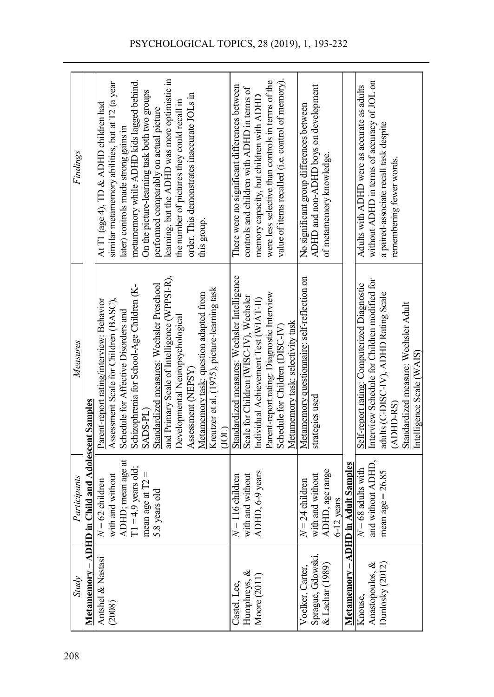| Findings     |                              | learning, but the ADHD was more optimistic in<br>metamemory while ADHD kids lagged behind.<br>similar metamemory abilities, but at T2 (a year<br>On the picture-learning task both two groups<br>order. This demonstrates inaccurate JOLs in<br>the number of pictures they could recall in<br>At T1 (age 4), TD & ADHD children had<br>performed comparably on actual picture<br>later) controls made strong gains in<br>this group.         | value of items recalled (i.e. control of memory).<br>were less selective than controls in terms of the<br>There were no significant differences between<br>controls and children with ADHD in terms of<br>memory capacity, but children with ADHD     | ADHD and non-ADHD boys on development<br>No significant group differences between<br>of metamemory knowledge. | without ADHD in terms of accuracy of JOL on<br>Adults with ADHD were as accurate as adults<br>a paired-associate recall task despite<br>remembering fewer words.                                                       |
|--------------|------------------------------|-----------------------------------------------------------------------------------------------------------------------------------------------------------------------------------------------------------------------------------------------------------------------------------------------------------------------------------------------------------------------------------------------------------------------------------------------|-------------------------------------------------------------------------------------------------------------------------------------------------------------------------------------------------------------------------------------------------------|---------------------------------------------------------------------------------------------------------------|------------------------------------------------------------------------------------------------------------------------------------------------------------------------------------------------------------------------|
| Measures     |                              | and Primary Scale of Intelligence (WPPSI-R),<br>Standardized measures: Wechsler Preschool<br>Schizophrenia for School-Age Children (K-<br>Kreutzer et al. (1975), picture-learning task<br>Metamemory task: question adapted from<br>Parent-report rating/interview: Behavior<br>Assessment Scale for Children (BASC),<br>Schedule for Affective Disorders and<br>Developmental Neuropsychological<br>Assessment (NEPSY)<br>SADS-PL)<br>(JOL) | Standardized measures: Wechsler Intelligence<br>Parent-report rating: Diagnostic Interview<br>Scale for Children (WISC-IV), Wechsler<br>Individual Achievement Test (WIAT-II)<br>Metamemory task: selectivity task<br>Schedule for Children (DISC-IV) | Metamemory questionnaire: self-reflection on<br>strategies used                                               | Interview Schedule for Children modified for<br>Self-report rating: Computerized Diagnostic<br>adults (C-DISC-IV), ADHD Rating Scale<br>Standardized measure: Wechsler Adult<br>Intelligence Scale (WAIS)<br>(ADHD-RS) |
| Participants | Child and Adolescent Samples | ADHD; mean age at<br>T1 = 4.9 years old;<br>mean age at $T2 =$<br>with and without<br>62 children<br>5.8 years old<br>$N = 6$                                                                                                                                                                                                                                                                                                                 | ADHD, 6-9 years<br>and without<br>116 children<br>with<br>$\geq$                                                                                                                                                                                      | ADHD, age range<br>6-12 years<br>with and without<br>24 children<br>$N=2$                                     | and without ADHD,<br>68 adults with<br>mean age $= 26.85$<br>$N=0$                                                                                                                                                     |
| Study        | Metamemory $-ADHD$ in        | Antshel & Nastasi<br>(2008)                                                                                                                                                                                                                                                                                                                                                                                                                   | Humphreys, &<br>Moore (2011)<br>Castel, Lee,                                                                                                                                                                                                          | Metamemory – ADHD in Adult Samples<br>Sprague, Gdowski,<br>& Lachar (1989)<br>Voelker, Carter,                | Anastopoulos, &<br>Dunlosky (2012)<br>Knouse,                                                                                                                                                                          |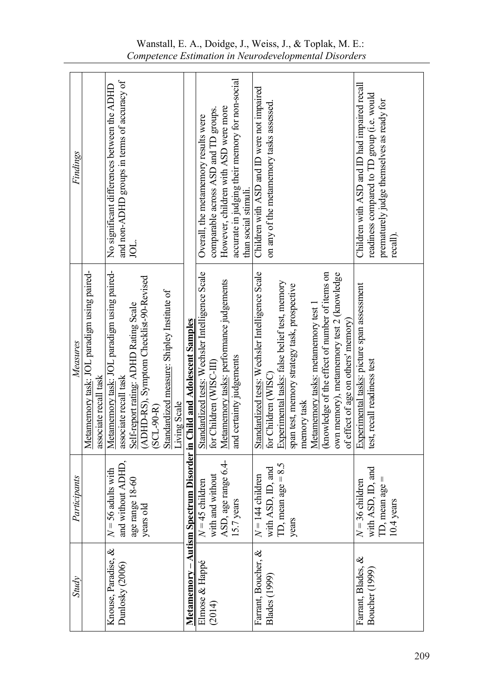| <b>Study</b>                           | Participants                                        | Measures                                                                         | Findings                                                                                   |
|----------------------------------------|-----------------------------------------------------|----------------------------------------------------------------------------------|--------------------------------------------------------------------------------------------|
|                                        |                                                     | Metamemory task: JOL paradigm using paired-<br>associate recall task             |                                                                                            |
| Knouse, Paradise, &<br>Dunlosky (2006) | and without ADHD,<br>$N = 56$ adults with           | Metamemory task: JOL paradigm using paired-<br>associate recall task             | and non-ADHD groups in terms of accuracy of<br>No significant differences between the ADHD |
|                                        | age range 18-60<br>years old                        | (ADHD-RS), Symptom Checklist-90-Revised<br>Self-report rating: ADHD Rating Scale | JOL.                                                                                       |
|                                        |                                                     | $(SCL-90-R)$                                                                     |                                                                                            |
|                                        |                                                     | Standardized measure: Shipley Institute of<br>Living Scale                       |                                                                                            |
|                                        |                                                     | Metamemory - Autism Spectrum Disorder in Child and Adolescent Samples            |                                                                                            |
| Elmose & Happé<br>(2014)               | with and without<br>$N = 45$ children               | Standardized tests: Wechsler Intelligence Scale<br>for Children (WISC-III)       | comparable across ASD and TD groups.<br>Overall, the metamemory results were               |
|                                        | ASD, age range 6.4-<br>  15.7 years                 | Metamemory tasks: performance judgements                                         | However, children with ASD were more                                                       |
|                                        |                                                     | and certainty judgements                                                         | accurate in judging their memory for non-social<br>than social stimuli.                    |
| Farrant, Boucher, &                    | $N = 144$ children                                  | Standardized tests: Wechsler Intelligence Scale                                  | Children with ASD and ID were not impaired                                                 |
| Blades (1999)                          | with ASD, ID, and<br>TD, mean $age = 8.5$           | for Children (WISC)                                                              | on any of the metamemory tasks assessed.                                                   |
|                                        |                                                     | Experimental tasks: false belief test, memory                                    |                                                                                            |
|                                        | years                                               | span test, memory strategy task, prospective                                     |                                                                                            |
|                                        |                                                     | Metamemory tasks: metamemory test 1<br>memory task                               |                                                                                            |
|                                        |                                                     | (knowledge of the effect of number of items on                                   |                                                                                            |
|                                        |                                                     | own memory), metamemory test 2 (knowledge<br>of effect of age on others' memory) |                                                                                            |
| Farrant, Blades, &<br>Boucher (1999)   | $N = 36$ children                                   | Experimental tasks: picture span assessment<br>test, recall readiness test       | Children with ASD and ID had impaired recall<br>readiness compared to TD group (i.e. would |
|                                        | with ASD, ID, and<br>TD, mean age =<br>$10.4$ years |                                                                                  | prematurely judge themselves as ready for<br>recall).                                      |
|                                        |                                                     |                                                                                  |                                                                                            |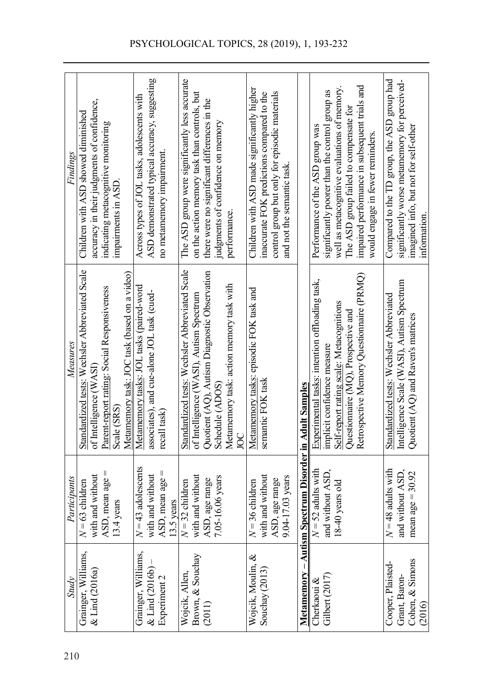| <b>Study</b>                          | Participants                                                     | Measures                                                                 | Findings                                                                          |
|---------------------------------------|------------------------------------------------------------------|--------------------------------------------------------------------------|-----------------------------------------------------------------------------------|
| Grainger, Williams,<br>& Lind (2016a) | th and without<br>$N = 63$ children<br>$\ddot{\bar{\mathbf{z}}}$ | Standardized tests: Wechsler Abbreviated Scale<br>of Intelligence (WASI) | accuracy in their judgments of confidence,<br>Children with ASD showed diminished |
|                                       | ASD, mean $age =$<br>$13.4$ years                                | Parent-report rating: Social Responsiveness<br>Scale (SRS)               | indicating metacognitive monitoring<br>impairments in ASD.                        |
|                                       |                                                                  | Metamemory task: JOC task (based on a video)                             |                                                                                   |
| Grainger, Williams,                   | $N=43$ adolescents                                               | Metamemory tasks: JOL tasks (paired-word                                 | Across types of JOL tasks, adolescents with                                       |
| & Lind (2016b)                        | th and without<br>$\ddot{\bar{z}}$                               | associates), and cue-alone JOL task (cued-                               | ASD demonstrated typical accuracy, suggesting                                     |
| Experiment 2                          | ASD, mean $age =$<br>5 years<br>13.                              | recall task                                                              | no metamemory impairment.                                                         |
| Wojcik, Allen,                        | $N = 32$ children                                                | Standardized tests: Wechsler Abbreviated Scale                           | The ASD group were significantly less accurate                                    |
| Brown, & Souchay                      | with and without                                                 | of Intelligence (WASI), Autism Spectrum                                  | on the action memory task than controls, but                                      |
| (2011)                                | ASD, age range                                                   | Quotient (AQ), Autism Diagnostic Observation                             | there were no significant differences in the                                      |
|                                       | 7.05-16.06 years                                                 | Schedule (ADOS)                                                          | judgments of confidence on memory                                                 |
|                                       |                                                                  | Metamemory task: action memory task with                                 | performance.                                                                      |
|                                       |                                                                  | ğ                                                                        |                                                                                   |
| Wojcik, Moulin, &                     | $N = 36$ children                                                | Metamemory tasks: episodic FOK task and                                  | Children with ASD made significantly higher                                       |
| Souchay (2013)                        | with and without                                                 | semantic FOK task                                                        | inaccurate FOK predictions compared to the                                        |
|                                       | ASD, age range                                                   |                                                                          | control group but only for episodic materials                                     |
|                                       | 9.04-17.03 years                                                 |                                                                          | and not the semantic task                                                         |
| Metamemory                            | Autism Spectrum Disorder in Adult Samples                        |                                                                          |                                                                                   |
| Cherkaoui &                           | $N = 52$ adults with                                             | Experimental tasks: intention offloading task,                           | Performance of the ASD group was                                                  |
| Gilbert (2017)                        | and without ASD,<br>18-40 years old                              | implicit confidence measure                                              | significantly poorer than the control group as                                    |
|                                       |                                                                  | Self-report rating scale: Metacognitions                                 | well as metacognitive evaluations of memory.                                      |
|                                       |                                                                  | Questionnaire (MQ), Prospective and                                      | The ASD group failed to compensate for                                            |
|                                       |                                                                  | Retrospective Memory Questionnaire (PRMQ)                                | impaired performance in subsequent trials and                                     |
|                                       |                                                                  |                                                                          | would engage in fewer reminders.                                                  |
| Cooper, Plaisted-                     | $N = 48$ adults with                                             | Standardized tests: Wechsler Abbreviated                                 | Compared to the TD group, the ASD group had                                       |
| Grant, Baron-                         | and without ASD.                                                 | Intelligence Scale (WASI), Autism Spectrum                               | significantly worse metamemory for perceived-                                     |
| Cohen, & Simons<br>(2016)             | mean $age = 30.92$                                               | Quotient (AQ) and Raven's matrices                                       | imagined info, but not for self-other                                             |
|                                       |                                                                  |                                                                          | mformation                                                                        |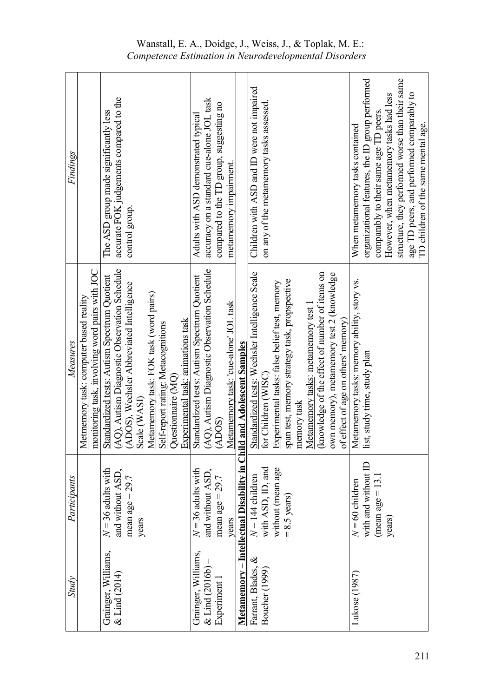| <b>Study</b>                         | Participants                                                  | Measures                                                                                                                                  | Findings                                                                                           |
|--------------------------------------|---------------------------------------------------------------|-------------------------------------------------------------------------------------------------------------------------------------------|----------------------------------------------------------------------------------------------------|
|                                      |                                                               | monitoring task, involving word pairs with JOC<br>Metmemory task: computer based reality                                                  |                                                                                                    |
| Grainger, Williams,<br>& Lind (2014) | $N = 36$ adults with<br>and without ASD,<br>mean age $= 29.7$ | (AQ), Autism Diagnostic Observation Schedule<br>Standardized tests: Autism Spectrum Quotient<br>(ADOS), Wechsler Abbreviated Intelligence | accurate FOK judgements compared to the<br>The ASD group made significantly less<br>control group. |
|                                      | years                                                         | Metamemory task: FOK task (word pairs)<br>Scale (WASI)                                                                                    |                                                                                                    |
|                                      |                                                               | Self-report rating: Metacognitions<br>Questionnaire (MQ)                                                                                  |                                                                                                    |
|                                      |                                                               | Experimental task: animations task                                                                                                        |                                                                                                    |
| Grainger, Williams,                  | $N = 36$ adults with                                          | Standardized tests: Autism Spectrum Quotient                                                                                              | Adults with ASD demonstrated typical                                                               |
| & Lind (2016b)                       | and without ASD,                                              | (AQ), Autism Diagnostic Observation Schedule                                                                                              | accuracy on a standard cue-alone JOL task                                                          |
| Experiment 1                         | mean age $= 29.7$                                             | (ADOS)                                                                                                                                    | compared to the TD group, suggesting no                                                            |
|                                      | years                                                         | Metamemory task: 'cue-alone' JOL task                                                                                                     | metamemory impairment.                                                                             |
|                                      |                                                               | Metamemory - Intellectual Disability in Child and Adolescent Samples                                                                      |                                                                                                    |
| Farrant, Blades, &<br>Boucher (1999) | $N = 144$ children                                            | Standardized tests: Wechsler Intelligence Scale                                                                                           | Children with ASD and ID were not impaired                                                         |
|                                      | with ASD, ID, and                                             | for Children (WISC)                                                                                                                       | on any of the metamemory tasks assessed.                                                           |
|                                      | thout (mean age<br>ÿ                                          | Experimental tasks: false belief test, memory                                                                                             |                                                                                                    |
|                                      | $= 8.5 \text{ years}$                                         | span test, memory strategy task, propspective                                                                                             |                                                                                                    |
|                                      |                                                               | memory task                                                                                                                               |                                                                                                    |
|                                      |                                                               | Metamemory tasks: metamemory test 1                                                                                                       |                                                                                                    |
|                                      |                                                               | (knowledge of the effect of number of items on                                                                                            |                                                                                                    |
|                                      |                                                               | own memory), metamemory test 2 (knowledge                                                                                                 |                                                                                                    |
|                                      |                                                               | of effect of age on others' memory)                                                                                                       |                                                                                                    |
| Lukose (1987)                        | $N = 60$ children                                             | Metamemory tasks: memory ability, story vs.                                                                                               | When metamemory tasks contained                                                                    |
|                                      | with and without ID                                           | list, study time, study plan                                                                                                              | organizational features, the ID group performed                                                    |
|                                      |                                                               |                                                                                                                                           | comparably to their same age TD peers                                                              |
|                                      | $(mean age = 13.1)$<br>years)                                 |                                                                                                                                           | However, when metamemory tasks had less                                                            |
|                                      |                                                               |                                                                                                                                           | structure, they performed worse than their same                                                    |
|                                      |                                                               |                                                                                                                                           | age TD peers, and performed comparably to                                                          |
|                                      |                                                               |                                                                                                                                           | TD children of the same mental age.                                                                |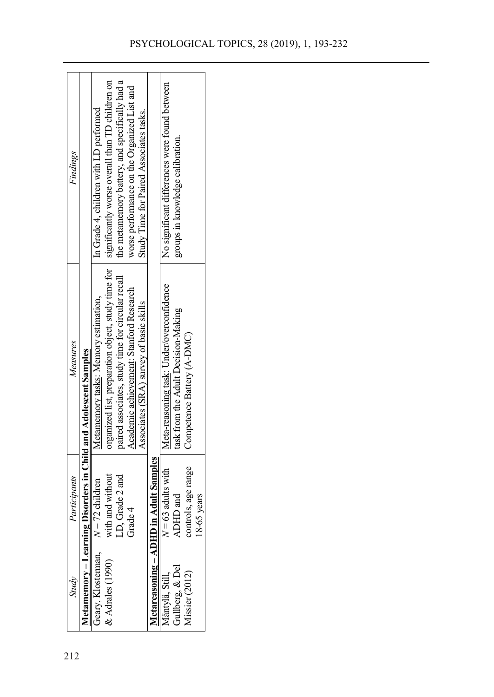|                                    | Participants       | Measures                                                                                           | Findings                                       |
|------------------------------------|--------------------|----------------------------------------------------------------------------------------------------|------------------------------------------------|
| <u> Metamemory – Learnin</u>       |                    | ng Disorders in Child and Adolescent Samples                                                       |                                                |
| Jeary, Klosterman,                 | $72$ children      | Metamemory tasks: Memory estimation,                                                               | In Grade 4, children with LD performed         |
| & Adrales (1990)                   | rith and without   | organized list, preparation object, study time for significantly worse overall than TD children on |                                                |
|                                    | D, Grade 2 and     | paired associates, study time for circular recall                                                  | the metamemory battery, and specifically had a |
|                                    | Grade 4            | Academic achievement: Stanford Research                                                            | worse performance on the Organized List and    |
|                                    |                    | Associates (SRA) survey of basic skills                                                            | Study Time for Paired Associates tasks.        |
| <b>Letareasoning – ADHL</b>        | In Adult Samples   |                                                                                                    |                                                |
| Mäntylä, Still,<br>Gullberg, & Del | $= 63$ adults with | Meta-reasoning task: Under/overconfidence                                                          | No significant differences were found between  |
|                                    | $DHD$ and          | task from the Adult Decision-Making                                                                | groups in knowledge calibration.               |
| dissier (2012)                     | ontrols, age range | Competence Battery (A-DMC)                                                                         |                                                |
|                                    | 8-65 years         |                                                                                                    |                                                |
|                                    |                    |                                                                                                    |                                                |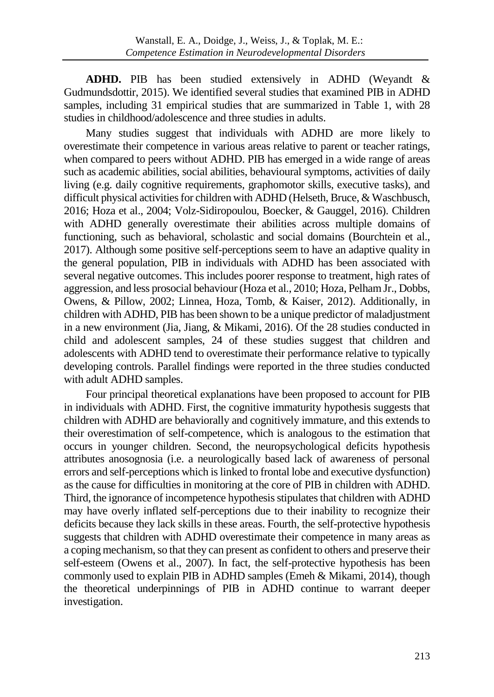**ADHD.** PIB has been studied extensively in ADHD (Weyandt & Gudmundsdottir, 2015). We identified several studies that examined PIB in ADHD samples, including 31 empirical studies that are summarized in Table 1, with 28 studies in childhood/adolescence and three studies in adults.

Many studies suggest that individuals with ADHD are more likely to overestimate their competence in various areas relative to parent or teacher ratings, when compared to peers without ADHD. PIB has emerged in a wide range of areas such as academic abilities, social abilities, behavioural symptoms, activities of daily living (e.g. daily cognitive requirements, graphomotor skills, executive tasks), and difficult physical activities for children with ADHD (Helseth, Bruce, & Waschbusch, 2016; Hoza et al., 2004; Volz-Sidiropoulou, Boecker, & Gauggel, 2016). Children with ADHD generally overestimate their abilities across multiple domains of functioning, such as behavioral, scholastic and social domains (Bourchtein et al., 2017). Although some positive self-perceptions seem to have an adaptive quality in the general population, PIB in individuals with ADHD has been associated with several negative outcomes. This includes poorer response to treatment, high rates of aggression, and less prosocial behaviour (Hoza et al., 2010; Hoza, Pelham Jr., Dobbs, Owens, & Pillow, 2002; Linnea, Hoza, Tomb, & Kaiser, 2012). Additionally, in children with ADHD, PIB has been shown to be a unique predictor of maladjustment in a new environment (Jia, Jiang, & Mikami, 2016). Of the 28 studies conducted in child and adolescent samples, 24 of these studies suggest that children and adolescents with ADHD tend to overestimate their performance relative to typically developing controls. Parallel findings were reported in the three studies conducted with adult ADHD samples.

Four principal theoretical explanations have been proposed to account for PIB in individuals with ADHD. First, the cognitive immaturity hypothesis suggests that children with ADHD are behaviorally and cognitively immature, and this extends to their overestimation of self-competence, which is analogous to the estimation that occurs in younger children. Second, the neuropsychological deficits hypothesis attributes anosognosia (i.e. a neurologically based lack of awareness of personal errors and self-perceptions which is linked to frontal lobe and executive dysfunction) as the cause for difficulties in monitoring at the core of PIB in children with ADHD. Third, the ignorance of incompetence hypothesis stipulates that children with ADHD may have overly inflated self-perceptions due to their inability to recognize their deficits because they lack skills in these areas. Fourth, the self-protective hypothesis suggests that children with ADHD overestimate their competence in many areas as a coping mechanism, so that they can present as confident to others and preserve their self-esteem (Owens et al., 2007). In fact, the self-protective hypothesis has been commonly used to explain PIB in ADHD samples (Emeh & Mikami, 2014), though the theoretical underpinnings of PIB in ADHD continue to warrant deeper investigation.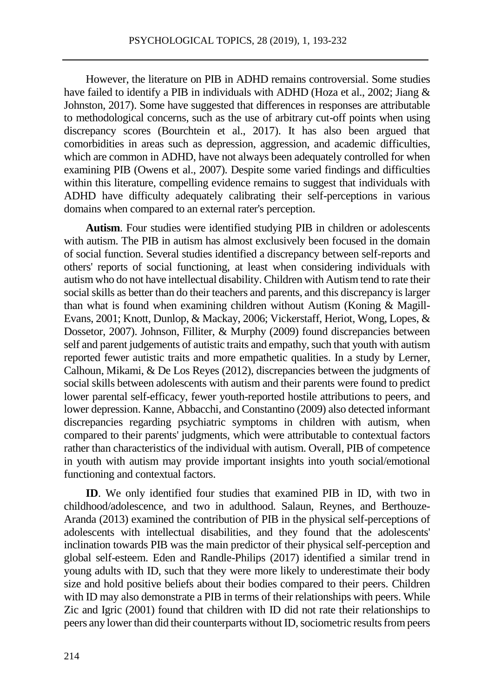However, the literature on PIB in ADHD remains controversial. Some studies have failed to identify a PIB in individuals with ADHD (Hoza et al., 2002; Jiang & Johnston, 2017). Some have suggested that differences in responses are attributable to methodological concerns, such as the use of arbitrary cut-off points when using discrepancy scores (Bourchtein et al., 2017). It has also been argued that comorbidities in areas such as depression, aggression, and academic difficulties, which are common in ADHD, have not always been adequately controlled for when examining PIB (Owens et al., 2007). Despite some varied findings and difficulties within this literature, compelling evidence remains to suggest that individuals with ADHD have difficulty adequately calibrating their self-perceptions in various domains when compared to an external rater's perception.

**Autism**. Four studies were identified studying PIB in children or adolescents with autism. The PIB in autism has almost exclusively been focused in the domain of social function. Several studies identified a discrepancy between self-reports and others' reports of social functioning, at least when considering individuals with autism who do not have intellectual disability. Children with Autism tend to rate their social skills as better than do their teachers and parents, and this discrepancy is larger than what is found when examining children without Autism (Koning & Magill-Evans, 2001; Knott, Dunlop, & Mackay, 2006; Vickerstaff, Heriot, Wong, Lopes, & Dossetor, 2007). Johnson, Filliter, & Murphy (2009) found discrepancies between self and parent judgements of autistic traits and empathy, such that youth with autism reported fewer autistic traits and more empathetic qualities. In a study by Lerner, Calhoun, Mikami, & De Los Reyes (2012), discrepancies between the judgments of social skills between adolescents with autism and their parents were found to predict lower parental self-efficacy, fewer youth-reported hostile attributions to peers, and lower depression. Kanne, Abbacchi, and Constantino (2009) also detected informant discrepancies regarding psychiatric symptoms in children with autism, when compared to their parents' judgments, which were attributable to contextual factors rather than characteristics of the individual with autism. Overall, PIB of competence in youth with autism may provide important insights into youth social/emotional functioning and contextual factors.

**ID**. We only identified four studies that examined PIB in ID, with two in childhood/adolescence, and two in adulthood. Salaun, Reynes, and Berthouze-Aranda (2013) examined the contribution of PIB in the physical self-perceptions of adolescents with intellectual disabilities, and they found that the adolescents' inclination towards PIB was the main predictor of their physical self-perception and global self-esteem. Eden and Randle-Philips (2017) identified a similar trend in young adults with ID, such that they were more likely to underestimate their body size and hold positive beliefs about their bodies compared to their peers. Children with ID may also demonstrate a PIB in terms of their relationships with peers. While Zic and Igric (2001) found that children with ID did not rate their relationships to peers any lower than did their counterparts without ID, sociometric results from peers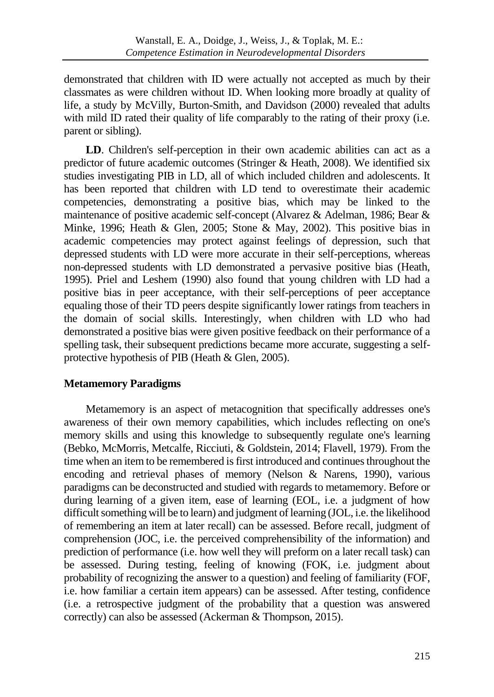demonstrated that children with ID were actually not accepted as much by their classmates as were children without ID. When looking more broadly at quality of life, a study by McVilly, Burton-Smith, and Davidson (2000) revealed that adults with mild ID rated their quality of life comparably to the rating of their proxy (i.e. parent or sibling).

**LD**. Children's self-perception in their own academic abilities can act as a predictor of future academic outcomes (Stringer & Heath, 2008). We identified six studies investigating PIB in LD, all of which included children and adolescents. It has been reported that children with LD tend to overestimate their academic competencies, demonstrating a positive bias, which may be linked to the maintenance of positive academic self-concept (Alvarez & Adelman, 1986; Bear & Minke, 1996; Heath & Glen, 2005; Stone & May, 2002). This positive bias in academic competencies may protect against feelings of depression, such that depressed students with LD were more accurate in their self-perceptions, whereas non-depressed students with LD demonstrated a pervasive positive bias (Heath, 1995). Priel and Leshem (1990) also found that young children with LD had a positive bias in peer acceptance, with their self-perceptions of peer acceptance equaling those of their TD peers despite significantly lower ratings from teachers in the domain of social skills. Interestingly, when children with LD who had demonstrated a positive bias were given positive feedback on their performance of a spelling task, their subsequent predictions became more accurate, suggesting a selfprotective hypothesis of PIB (Heath & Glen, 2005).

# **Metamemory Paradigms**

Metamemory is an aspect of metacognition that specifically addresses one's awareness of their own memory capabilities, which includes reflecting on one's memory skills and using this knowledge to subsequently regulate one's learning (Bebko, McMorris, Metcalfe, Ricciuti, & Goldstein, 2014; Flavell, 1979). From the time when an item to be remembered is first introduced and continues throughout the encoding and retrieval phases of memory (Nelson & Narens, 1990), various paradigms can be deconstructed and studied with regards to metamemory. Before or during learning of a given item, ease of learning (EOL, i.e. a judgment of how difficult something will be to learn) and judgment of learning (JOL, i.e. the likelihood of remembering an item at later recall) can be assessed. Before recall, judgment of comprehension (JOC, i.e. the perceived comprehensibility of the information) and prediction of performance (i.e. how well they will preform on a later recall task) can be assessed. During testing, feeling of knowing (FOK, i.e. judgment about probability of recognizing the answer to a question) and feeling of familiarity (FOF, i.e. how familiar a certain item appears) can be assessed. After testing, confidence (i.e. a retrospective judgment of the probability that a question was answered correctly) can also be assessed (Ackerman & Thompson, 2015).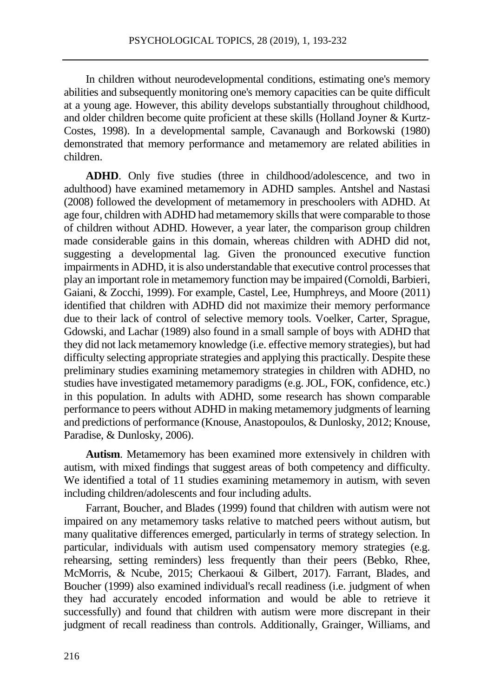In children without neurodevelopmental conditions, estimating one's memory abilities and subsequently monitoring one's memory capacities can be quite difficult at a young age. However, this ability develops substantially throughout childhood, and older children become quite proficient at these skills (Holland Joyner & Kurtz-Costes, 1998). In a developmental sample, Cavanaugh and Borkowski (1980) demonstrated that memory performance and metamemory are related abilities in children.

**ADHD**. Only five studies (three in childhood/adolescence, and two in adulthood) have examined metamemory in ADHD samples. Antshel and Nastasi (2008) followed the development of metamemory in preschoolers with ADHD. At age four, children with ADHD had metamemory skills that were comparable to those of children without ADHD. However, a year later, the comparison group children made considerable gains in this domain, whereas children with ADHD did not, suggesting a developmental lag. Given the pronounced executive function impairments in ADHD, it is also understandable that executive control processes that play an important role in metamemory function may be impaired (Cornoldi, Barbieri, Gaiani, & Zocchi, 1999). For example, Castel, Lee, Humphreys, and Moore (2011) identified that children with ADHD did not maximize their memory performance due to their lack of control of selective memory tools. Voelker, Carter, Sprague, Gdowski, and Lachar (1989) also found in a small sample of boys with ADHD that they did not lack metamemory knowledge (i.e. effective memory strategies), but had difficulty selecting appropriate strategies and applying this practically. Despite these preliminary studies examining metamemory strategies in children with ADHD, no studies have investigated metamemory paradigms (e.g. JOL, FOK, confidence, etc.) in this population. In adults with ADHD, some research has shown comparable performance to peers without ADHD in making metamemory judgments of learning and predictions of performance (Knouse, Anastopoulos, & Dunlosky, 2012; Knouse, Paradise, & Dunlosky, 2006).

**Autism**. Metamemory has been examined more extensively in children with autism, with mixed findings that suggest areas of both competency and difficulty. We identified a total of 11 studies examining metamemory in autism, with seven including children/adolescents and four including adults.

Farrant, Boucher, and Blades (1999) found that children with autism were not impaired on any metamemory tasks relative to matched peers without autism, but many qualitative differences emerged, particularly in terms of strategy selection. In particular, individuals with autism used compensatory memory strategies (e.g. rehearsing, setting reminders) less frequently than their peers (Bebko, Rhee, McMorris, & Ncube, 2015; Cherkaoui & Gilbert, 2017). Farrant, Blades, and Boucher (1999) also examined individual's recall readiness (i.e. judgment of when they had accurately encoded information and would be able to retrieve it successfully) and found that children with autism were more discrepant in their judgment of recall readiness than controls. Additionally, Grainger, Williams, and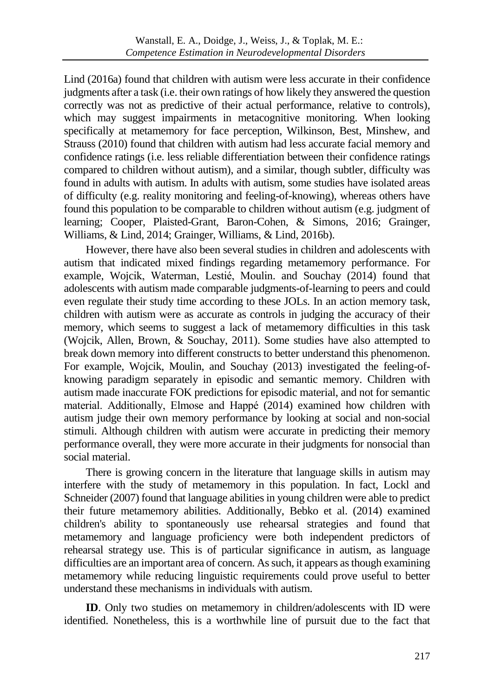Lind (2016a) found that children with autism were less accurate in their confidence judgments after a task (i.e. their own ratings of how likely they answered the question correctly was not as predictive of their actual performance, relative to controls), which may suggest impairments in metacognitive monitoring. When looking specifically at metamemory for face perception, Wilkinson, Best, Minshew, and Strauss (2010) found that children with autism had less accurate facial memory and confidence ratings (i.e. less reliable differentiation between their confidence ratings compared to children without autism), and a similar, though subtler, difficulty was found in adults with autism. In adults with autism, some studies have isolated areas of difficulty (e.g. reality monitoring and feeling-of-knowing), whereas others have found this population to be comparable to children without autism (e.g. judgment of learning; Cooper, Plaisted-Grant, Baron-Cohen, & Simons, 2016; Grainger, Williams, & Lind, 2014; Grainger, Williams, & Lind, 2016b).

However, there have also been several studies in children and adolescents with autism that indicated mixed findings regarding metamemory performance. For example, Wojcik, Waterman, Lestié, Moulin. and Souchay (2014) found that adolescents with autism made comparable judgments-of-learning to peers and could even regulate their study time according to these JOLs. In an action memory task, children with autism were as accurate as controls in judging the accuracy of their memory, which seems to suggest a lack of metamemory difficulties in this task (Wojcik, Allen, Brown, & Souchay, 2011). Some studies have also attempted to break down memory into different constructs to better understand this phenomenon. For example, Wojcik, Moulin, and Souchay (2013) investigated the feeling-ofknowing paradigm separately in episodic and semantic memory. Children with autism made inaccurate FOK predictions for episodic material, and not for semantic material. Additionally, Elmose and Happé (2014) examined how children with autism judge their own memory performance by looking at social and non-social stimuli. Although children with autism were accurate in predicting their memory performance overall, they were more accurate in their judgments for nonsocial than social material.

There is growing concern in the literature that language skills in autism may interfere with the study of metamemory in this population. In fact, Lockl and Schneider (2007) found that language abilities in young children were able to predict their future metamemory abilities. Additionally, Bebko et al. (2014) examined children's ability to spontaneously use rehearsal strategies and found that metamemory and language proficiency were both independent predictors of rehearsal strategy use. This is of particular significance in autism, as language difficulties are an important area of concern. As such, it appears as though examining metamemory while reducing linguistic requirements could prove useful to better understand these mechanisms in individuals with autism.

**ID**. Only two studies on metamemory in children/adolescents with ID were identified. Nonetheless, this is a worthwhile line of pursuit due to the fact that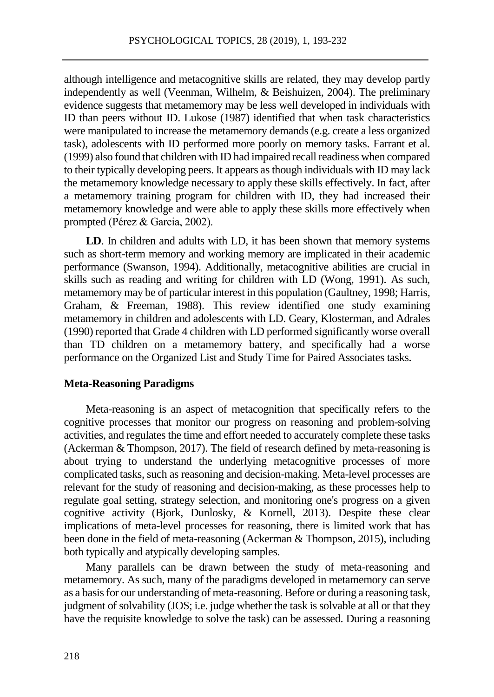although intelligence and metacognitive skills are related, they may develop partly independently as well (Veenman, Wilhelm, & Beishuizen, 2004). The preliminary evidence suggests that metamemory may be less well developed in individuals with ID than peers without ID. Lukose (1987) identified that when task characteristics were manipulated to increase the metamemory demands (e.g. create a less organized task), adolescents with ID performed more poorly on memory tasks. Farrant et al. (1999) also found that children with ID had impaired recall readiness when compared to their typically developing peers. It appears as though individuals with ID may lack the metamemory knowledge necessary to apply these skills effectively. In fact, after a metamemory training program for children with ID, they had increased their metamemory knowledge and were able to apply these skills more effectively when prompted (Pérez & Garcia, 2002).

**LD**. In children and adults with LD, it has been shown that memory systems such as short-term memory and working memory are implicated in their academic performance (Swanson, 1994). Additionally, metacognitive abilities are crucial in skills such as reading and writing for children with LD (Wong, 1991). As such, metamemory may be of particular interest in this population (Gaultney, 1998; Harris, Graham, & Freeman, 1988). This review identified one study examining metamemory in children and adolescents with LD. Geary, Klosterman, and Adrales (1990) reported that Grade 4 children with LD performed significantly worse overall than TD children on a metamemory battery, and specifically had a worse performance on the Organized List and Study Time for Paired Associates tasks.

#### **Meta-Reasoning Paradigms**

Meta-reasoning is an aspect of metacognition that specifically refers to the cognitive processes that monitor our progress on reasoning and problem-solving activities, and regulates the time and effort needed to accurately complete these tasks (Ackerman & Thompson, 2017). The field of research defined by meta-reasoning is about trying to understand the underlying metacognitive processes of more complicated tasks, such as reasoning and decision-making. Meta-level processes are relevant for the study of reasoning and decision-making, as these processes help to regulate goal setting, strategy selection, and monitoring one's progress on a given cognitive activity (Bjork, Dunlosky, & Kornell, 2013). Despite these clear implications of meta-level processes for reasoning, there is limited work that has been done in the field of meta-reasoning (Ackerman & Thompson, 2015), including both typically and atypically developing samples.

Many parallels can be drawn between the study of meta-reasoning and metamemory. As such, many of the paradigms developed in metamemory can serve as a basis for our understanding of meta-reasoning. Before or during a reasoning task, judgment of solvability (JOS; i.e. judge whether the task is solvable at all or that they have the requisite knowledge to solve the task) can be assessed. During a reasoning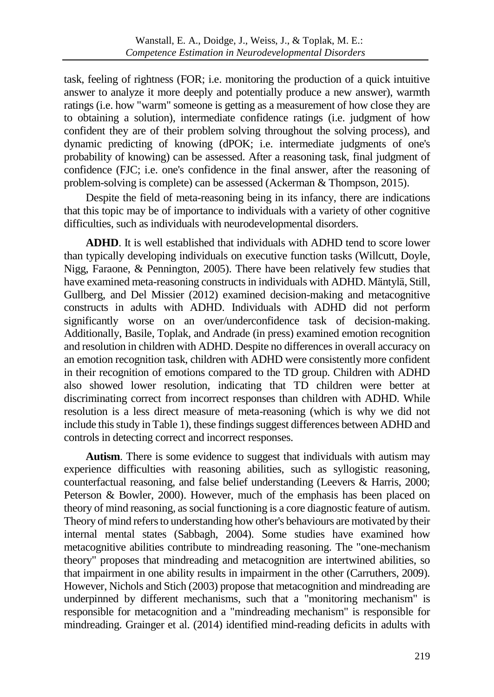task, feeling of rightness (FOR; i.e. monitoring the production of a quick intuitive answer to analyze it more deeply and potentially produce a new answer), warmth ratings (i.e. how "warm" someone is getting as a measurement of how close they are to obtaining a solution), intermediate confidence ratings (i.e. judgment of how confident they are of their problem solving throughout the solving process), and dynamic predicting of knowing (dPOK; i.e. intermediate judgments of one's probability of knowing) can be assessed. After a reasoning task, final judgment of confidence (FJC; i.e. one's confidence in the final answer, after the reasoning of problem-solving is complete) can be assessed (Ackerman & Thompson, 2015).

Despite the field of meta-reasoning being in its infancy, there are indications that this topic may be of importance to individuals with a variety of other cognitive difficulties, such as individuals with neurodevelopmental disorders.

**ADHD**. It is well established that individuals with ADHD tend to score lower than typically developing individuals on executive function tasks (Willcutt, Doyle, Nigg, Faraone, & Pennington, 2005). There have been relatively few studies that have examined meta-reasoning constructs in individuals with ADHD. Mäntylä, Still, Gullberg, and Del Missier (2012) examined decision-making and metacognitive constructs in adults with ADHD. Individuals with ADHD did not perform significantly worse on an over/underconfidence task of decision-making. Additionally, Basile, Toplak, and Andrade (in press) examined emotion recognition and resolution in children with ADHD. Despite no differences in overall accuracy on an emotion recognition task, children with ADHD were consistently more confident in their recognition of emotions compared to the TD group. Children with ADHD also showed lower resolution, indicating that TD children were better at discriminating correct from incorrect responses than children with ADHD. While resolution is a less direct measure of meta-reasoning (which is why we did not include this study in Table 1), these findings suggest differences between ADHD and controls in detecting correct and incorrect responses.

**Autism**. There is some evidence to suggest that individuals with autism may experience difficulties with reasoning abilities, such as syllogistic reasoning, counterfactual reasoning, and false belief understanding (Leevers & Harris, 2000; Peterson & Bowler, 2000). However, much of the emphasis has been placed on theory of mind reasoning, as social functioning is a core diagnostic feature of autism. Theory of mind refers to understanding how other's behaviours are motivated by their internal mental states (Sabbagh, 2004). Some studies have examined how metacognitive abilities contribute to mindreading reasoning. The "one-mechanism theory" proposes that mindreading and metacognition are intertwined abilities, so that impairment in one ability results in impairment in the other (Carruthers, 2009). However, Nichols and Stich (2003) propose that metacognition and mindreading are underpinned by different mechanisms, such that a "monitoring mechanism" is responsible for metacognition and a "mindreading mechanism" is responsible for mindreading. Grainger et al. (2014) identified mind-reading deficits in adults with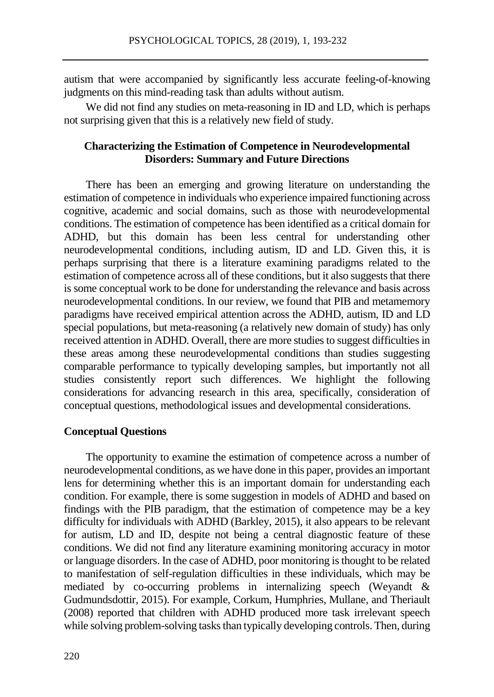autism that were accompanied by significantly less accurate feeling-of-knowing judgments on this mind-reading task than adults without autism.

We did not find any studies on meta-reasoning in ID and LD, which is perhaps not surprising given that this is a relatively new field of study.

#### **Characterizing the Estimation of Competence in Neurodevelopmental Disorders: Summary and Future Directions**

There has been an emerging and growing literature on understanding the estimation of competence in individuals who experience impaired functioning across cognitive, academic and social domains, such as those with neurodevelopmental conditions. The estimation of competence has been identified as a critical domain for ADHD, but this domain has been less central for understanding other neurodevelopmental conditions, including autism, ID and LD. Given this, it is perhaps surprising that there is a literature examining paradigms related to the estimation of competence across all of these conditions, but it also suggests that there is some conceptual work to be done for understanding the relevance and basis across neurodevelopmental conditions. In our review, we found that PIB and metamemory paradigms have received empirical attention across the ADHD, autism, ID and LD special populations, but meta-reasoning (a relatively new domain of study) has only received attention in ADHD. Overall, there are more studies to suggest difficulties in these areas among these neurodevelopmental conditions than studies suggesting comparable performance to typically developing samples, but importantly not all studies consistently report such differences. We highlight the following considerations for advancing research in this area, specifically, consideration of conceptual questions, methodological issues and developmental considerations.

#### **Conceptual Questions**

The opportunity to examine the estimation of competence across a number of neurodevelopmental conditions, as we have done in this paper, provides an important lens for determining whether this is an important domain for understanding each condition. For example, there is some suggestion in models of ADHD and based on findings with the PIB paradigm, that the estimation of competence may be a key difficulty for individuals with ADHD (Barkley, 2015), it also appears to be relevant for autism, LD and ID, despite not being a central diagnostic feature of these conditions. We did not find any literature examining monitoring accuracy in motor or language disorders. In the case of ADHD, poor monitoring is thought to be related to manifestation of self-regulation difficulties in these individuals, which may be mediated by co-occurring problems in internalizing speech (Weyandt & Gudmundsdottir, 2015). For example, Corkum, Humphries, Mullane, and Theriault (2008) reported that children with ADHD produced more task irrelevant speech while solving problem-solving tasks than typically developing controls. Then, during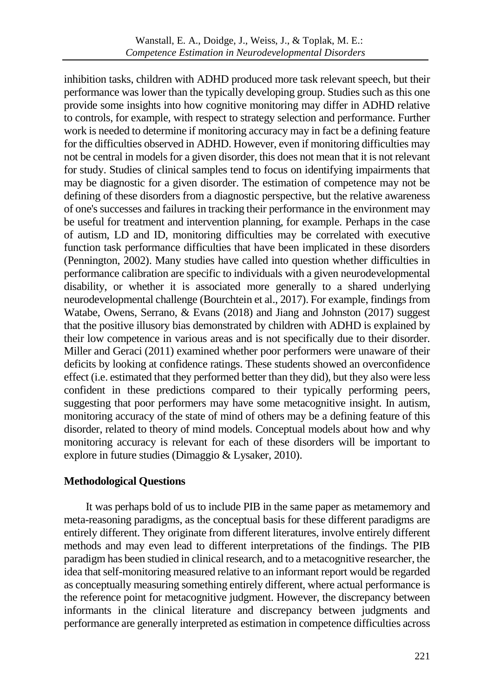inhibition tasks, children with ADHD produced more task relevant speech, but their performance was lower than the typically developing group. Studies such as this one provide some insights into how cognitive monitoring may differ in ADHD relative to controls, for example, with respect to strategy selection and performance. Further work is needed to determine if monitoring accuracy may in fact be a defining feature for the difficulties observed in ADHD. However, even if monitoring difficulties may not be central in models for a given disorder, this does not mean that it is not relevant for study. Studies of clinical samples tend to focus on identifying impairments that may be diagnostic for a given disorder. The estimation of competence may not be defining of these disorders from a diagnostic perspective, but the relative awareness of one's successes and failures in tracking their performance in the environment may be useful for treatment and intervention planning, for example. Perhaps in the case of autism, LD and ID, monitoring difficulties may be correlated with executive function task performance difficulties that have been implicated in these disorders (Pennington, 2002). Many studies have called into question whether difficulties in performance calibration are specific to individuals with a given neurodevelopmental disability, or whether it is associated more generally to a shared underlying neurodevelopmental challenge (Bourchtein et al., 2017). For example, findings from Watabe, Owens, Serrano, & Evans (2018) and Jiang and Johnston (2017) suggest that the positive illusory bias demonstrated by children with ADHD is explained by their low competence in various areas and is not specifically due to their disorder. Miller and Geraci (2011) examined whether poor performers were unaware of their deficits by looking at confidence ratings. These students showed an overconfidence effect (i.e. estimated that they performed better than they did), but they also were less confident in these predictions compared to their typically performing peers, suggesting that poor performers may have some metacognitive insight. In autism, monitoring accuracy of the state of mind of others may be a defining feature of this disorder, related to theory of mind models. Conceptual models about how and why monitoring accuracy is relevant for each of these disorders will be important to explore in future studies (Dimaggio & Lysaker, 2010).

# **Methodological Questions**

It was perhaps bold of us to include PIB in the same paper as metamemory and meta-reasoning paradigms, as the conceptual basis for these different paradigms are entirely different. They originate from different literatures, involve entirely different methods and may even lead to different interpretations of the findings. The PIB paradigm has been studied in clinical research, and to a metacognitive researcher, the idea that self-monitoring measured relative to an informant report would be regarded as conceptually measuring something entirely different, where actual performance is the reference point for metacognitive judgment. However, the discrepancy between informants in the clinical literature and discrepancy between judgments and performance are generally interpreted as estimation in competence difficulties across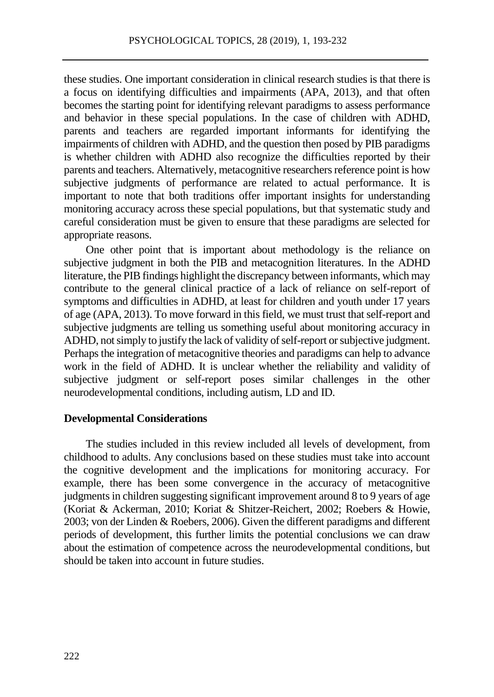these studies. One important consideration in clinical research studies is that there is a focus on identifying difficulties and impairments (APA, 2013), and that often becomes the starting point for identifying relevant paradigms to assess performance and behavior in these special populations. In the case of children with ADHD, parents and teachers are regarded important informants for identifying the impairments of children with ADHD, and the question then posed by PIB paradigms is whether children with ADHD also recognize the difficulties reported by their parents and teachers. Alternatively, metacognitive researchers reference point is how subjective judgments of performance are related to actual performance. It is important to note that both traditions offer important insights for understanding monitoring accuracy across these special populations, but that systematic study and careful consideration must be given to ensure that these paradigms are selected for appropriate reasons.

One other point that is important about methodology is the reliance on subjective judgment in both the PIB and metacognition literatures. In the ADHD literature, the PIB findings highlight the discrepancy between informants, which may contribute to the general clinical practice of a lack of reliance on self-report of symptoms and difficulties in ADHD, at least for children and youth under 17 years of age (APA, 2013). To move forward in this field, we must trust that self-report and subjective judgments are telling us something useful about monitoring accuracy in ADHD, not simply to justify the lack of validity of self-report or subjective judgment. Perhaps the integration of metacognitive theories and paradigms can help to advance work in the field of ADHD. It is unclear whether the reliability and validity of subjective judgment or self-report poses similar challenges in the other neurodevelopmental conditions, including autism, LD and ID.

#### **Developmental Considerations**

The studies included in this review included all levels of development, from childhood to adults. Any conclusions based on these studies must take into account the cognitive development and the implications for monitoring accuracy. For example, there has been some convergence in the accuracy of metacognitive judgments in children suggesting significant improvement around 8 to 9 years of age (Koriat & Ackerman, 2010; Koriat & Shitzer-Reichert, 2002; Roebers & Howie, 2003; von der Linden & Roebers, 2006). Given the different paradigms and different periods of development, this further limits the potential conclusions we can draw about the estimation of competence across the neurodevelopmental conditions, but should be taken into account in future studies.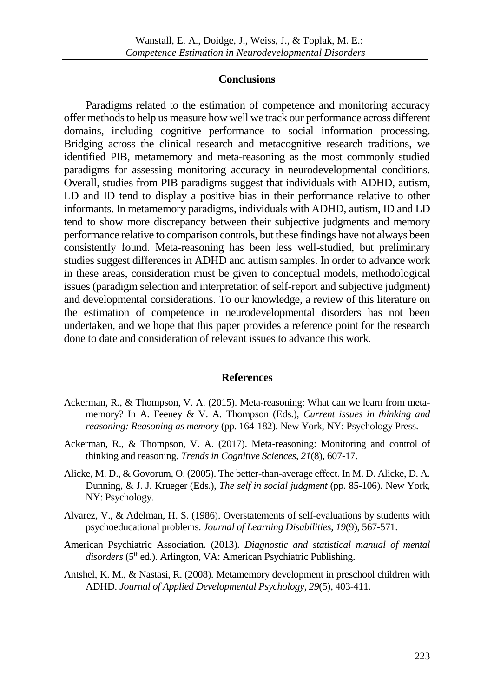#### **Conclusions**

Paradigms related to the estimation of competence and monitoring accuracy offer methods to help us measure how well we track our performance across different domains, including cognitive performance to social information processing. Bridging across the clinical research and metacognitive research traditions, we identified PIB, metamemory and meta-reasoning as the most commonly studied paradigms for assessing monitoring accuracy in neurodevelopmental conditions. Overall, studies from PIB paradigms suggest that individuals with ADHD, autism, LD and ID tend to display a positive bias in their performance relative to other informants. In metamemory paradigms, individuals with ADHD, autism, ID and LD tend to show more discrepancy between their subjective judgments and memory performance relative to comparison controls, but these findings have not always been consistently found. Meta-reasoning has been less well-studied, but preliminary studies suggest differences in ADHD and autism samples. In order to advance work in these areas, consideration must be given to conceptual models, methodological issues (paradigm selection and interpretation of self-report and subjective judgment) and developmental considerations. To our knowledge, a review of this literature on the estimation of competence in neurodevelopmental disorders has not been undertaken, and we hope that this paper provides a reference point for the research done to date and consideration of relevant issues to advance this work.

#### **References**

- Ackerman, R., & Thompson, V. A. (2015). Meta-reasoning: What can we learn from metamemory? In A. Feeney & V. A. Thompson (Eds.), *Current issues in thinking and reasoning: Reasoning as memory* (pp. 164-182). New York, NY: Psychology Press.
- Ackerman, R., & Thompson, V. A. (2017). Meta-reasoning: Monitoring and control of thinking and reasoning. *Trends in Cognitive Sciences, 21*(8), 607-17.
- Alicke, M. D., & Govorum, O. (2005). The better-than-average effect. In M. D. Alicke, D. A. Dunning, & J. J. Krueger (Eds.), *The self in social judgment* (pp. 85-106). New York, NY: Psychology.
- Alvarez, V., & Adelman, H. S. (1986). Overstatements of self-evaluations by students with psychoeducational problems. *Journal of Learning Disabilities, 19*(9), 567-571.
- American Psychiatric Association. (2013). *Diagnostic and statistical manual of mental*  disorders (5<sup>th</sup> ed.). Arlington, VA: American Psychiatric Publishing.
- Antshel, K. M., & Nastasi, R. (2008). Metamemory development in preschool children with ADHD. *Journal of Applied Developmental Psychology, 29*(5), 403-411.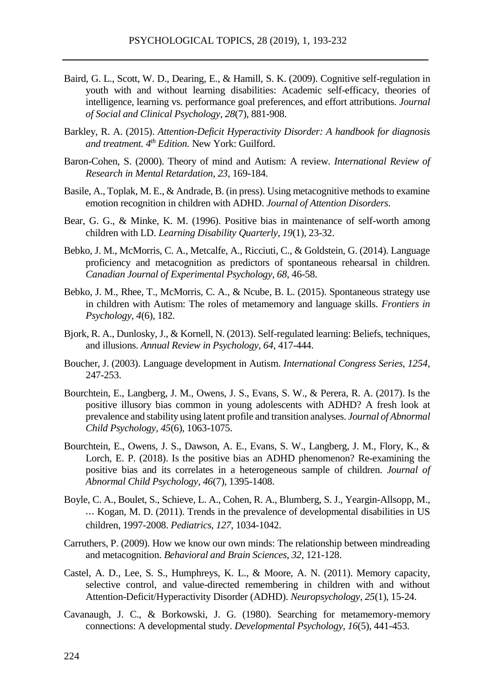- Baird, G. L., Scott, W. D., Dearing, E., & Hamill, S. K. (2009). Cognitive self-regulation in youth with and without learning disabilities: Academic self-efficacy, theories of intelligence, learning vs. performance goal preferences, and effort attributions. *Journal of Social and Clinical Psychology, 28*(7), 881-908.
- Barkley, R. A. (2015). *Attention-Deficit Hyperactivity Disorder: A handbook for diagnosis and treatment. 4th Edition.* New York: Guilford.
- Baron-Cohen, S. (2000). Theory of mind and Autism: A review. *International Review of Research in Mental Retardation, 23*, 169-184.
- Basile, A., Toplak, M. E., & Andrade, B. (in press). Using metacognitive methods to examine emotion recognition in children with ADHD. *Journal of Attention Disorders*.
- Bear, G. G., & Minke, K. M. (1996). Positive bias in maintenance of self-worth among children with LD. *Learning Disability Quarterly, 19*(1), 23-32.
- Bebko, J. M., McMorris, C. A., Metcalfe, A., Ricciuti, C., & Goldstein, G. (2014). Language proficiency and metacognition as predictors of spontaneous rehearsal in children. *Canadian Journal of Experimental Psychology, 68*, 46-58.
- Bebko, J. M., Rhee, T., McMorris, C. A., & Ncube, B. L. (2015). Spontaneous strategy use in children with Autism: The roles of metamemory and language skills. *Frontiers in Psychology, 4*(6), 182.
- Bjork, R. A., Dunlosky, J., & Kornell, N. (2013). Self-regulated learning: Beliefs, techniques, and illusions. *Annual Review in Psychology, 64*, 417-444.
- Boucher, J. (2003). Language development in Autism. *International Congress Series, 1254*, 247-253.
- Bourchtein, E., Langberg, J. M., Owens, J. S., Evans, S. W., & Perera, R. A. (2017). Is the positive illusory bias common in young adolescents with ADHD? A fresh look at prevalence and stability using latent profile and transition analyses. *Journal of Abnormal Child Psychology*, *45*(6), 1063-1075.
- Bourchtein, E., Owens, J. S., Dawson, A. E., Evans, S. W., Langberg, J. M., Flory, K., & Lorch, E. P. (2018). Is the positive bias an ADHD phenomenon? Re-examining the positive bias and its correlates in a heterogeneous sample of children. *Journal of Abnormal Child Psychology*, *46*(7), 1395-1408.
- Boyle, C. A., Boulet, S., Schieve, L. A., Cohen, R. A., Blumberg, S. J., Yeargin-Allsopp, M., ⋯ Kogan, M. D. (2011). Trends in the prevalence of developmental disabilities in US children, 1997-2008. *Pediatrics*, *127*, 1034-1042.
- Carruthers, P. (2009). How we know our own minds: The relationship between mindreading and metacognition. *Behavioral and Brain Sciences, 32*, 121-128.
- Castel, A. D., Lee, S. S., Humphreys, K. L., & Moore, A. N. (2011). Memory capacity, selective control, and value-directed remembering in children with and without Attention-Deficit/Hyperactivity Disorder (ADHD). *Neuropsychology, 25*(1), 15-24.
- Cavanaugh, J. C., & Borkowski, J. G. (1980). Searching for metamemory-memory connections: A developmental study. *Developmental Psychology, 16*(5), 441-453.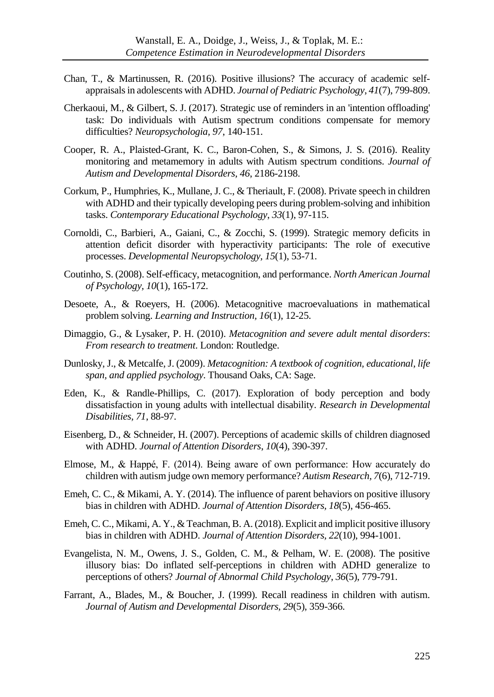- Chan, T., & Martinussen, R. (2016). Positive illusions? The accuracy of academic selfappraisals in adolescents with ADHD. *Journal of Pediatric Psychology*, *41*(7), 799-809.
- Cherkaoui, M., & Gilbert, S. J. (2017). Strategic use of reminders in an 'intention offloading' task: Do individuals with Autism spectrum conditions compensate for memory difficulties? *Neuropsychologia, 97*, 140-151.
- Cooper, R. A., Plaisted-Grant, K. C., Baron-Cohen, S., & Simons, J. S. (2016). Reality monitoring and metamemory in adults with Autism spectrum conditions. *Journal of Autism and Developmental Disorders, 46*, 2186-2198.
- Corkum, P., Humphries, K., Mullane, J. C., & Theriault, F. (2008). Private speech in children with ADHD and their typically developing peers during problem-solving and inhibition tasks. *Contemporary Educational Psychology*, *33*(1), 97-115.
- Cornoldi, C., Barbieri, A., Gaiani, C., & Zocchi, S. (1999). Strategic memory deficits in attention deficit disorder with hyperactivity participants: The role of executive processes. *Developmental Neuropsychology, 15*(1), 53-71.
- Coutinho, S. (2008). Self-efficacy, metacognition, and performance. *North American Journal of Psychology, 10*(1), 165-172.
- Desoete, A., & Roeyers, H. (2006). Metacognitive macroevaluations in mathematical problem solving. *Learning and Instruction, 16*(1), 12-25.
- Dimaggio, G., & Lysaker, P. H. (2010). *Metacognition and severe adult mental disorders*: *From research to treatment*. London: Routledge.
- Dunlosky, J., & Metcalfe, J. (2009). *Metacognition: A textbook of cognition, educational, life span, and applied psychology*. Thousand Oaks, CA: Sage.
- Eden, K., & Randle-Phillips, C. (2017). Exploration of body perception and body dissatisfaction in young adults with intellectual disability. *Research in Developmental Disabilities, 71*, 88-97.
- Eisenberg, D., & Schneider, H. (2007). Perceptions of academic skills of children diagnosed with ADHD. *Journal of Attention Disorders*, *10*(4), 390-397.
- Elmose, M., & Happé, F. (2014). Being aware of own performance: How accurately do children with autism judge own memory performance? *Autism Research, 7*(6), 712-719.
- Emeh, C. C., & Mikami, A. Y. (2014). The influence of parent behaviors on positive illusory bias in children with ADHD. *Journal of Attention Disorders, 18*(5), 456-465.
- Emeh, C. C., Mikami, A. Y., & Teachman, B. A. (2018). Explicit and implicit positive illusory bias in children with ADHD. *Journal of Attention Disorders, 22*(10), 994-1001.
- Evangelista, N. M., Owens, J. S., Golden, C. M., & Pelham, W. E. (2008). The positive illusory bias: Do inflated self-perceptions in children with ADHD generalize to perceptions of others? *Journal of Abnormal Child Psychology*, *36*(5), 779-791.
- Farrant, A., Blades, M., & Boucher, J. (1999). Recall readiness in children with autism. *Journal of Autism and Developmental Disorders, 29*(5), 359-366.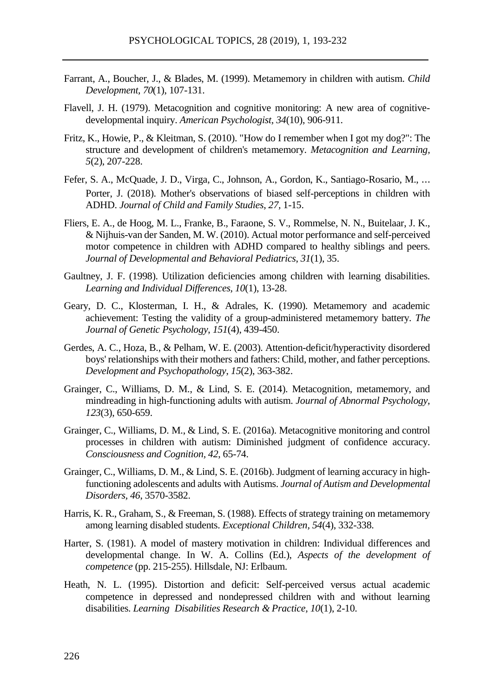- Farrant, A., Boucher, J., & Blades, M. (1999). Metamemory in children with autism. *Child Development, 70*(1), 107-131.
- Flavell, J. H. (1979). Metacognition and cognitive monitoring: A new area of cognitivedevelopmental inquiry. *American Psychologist, 34*(10), 906-911.
- Fritz, K., Howie, P., & Kleitman, S. (2010). "How do I remember when I got my dog?": The structure and development of children's metamemory. *Metacognition and Learning, 5*(2), 207-228.
- Fefer, S. A., McQuade, J. D., Virga, C., Johnson, A., Gordon, K., Santiago-Rosario, M., ⋯ Porter, J. (2018). Mother's observations of biased self-perceptions in children with ADHD. *Journal of Child and Family Studies*, *27,* 1-15.
- Fliers, E. A., de Hoog, M. L., Franke, B., Faraone, S. V., Rommelse, N. N., Buitelaar, J. K., & Nijhuis-van der Sanden, M. W. (2010). Actual motor performance and self-perceived motor competence in children with ADHD compared to healthy siblings and peers. *Journal of Developmental and Behavioral Pediatrics*, *31*(1), 35.
- Gaultney, J. F. (1998). Utilization deficiencies among children with learning disabilities. *Learning and Individual Differences, 10*(1), 13-28.
- Geary, D. C., Klosterman, I. H., & Adrales, K. (1990). Metamemory and academic achievement: Testing the validity of a group-administered metamemory battery. *The Journal of Genetic Psychology*, *151*(4), 439-450.
- Gerdes, A. C., Hoza, B., & Pelham, W. E. (2003). Attention-deficit/hyperactivity disordered boys' relationships with their mothers and fathers: Child, mother, and father perceptions. *Development and Psychopathology*, *15*(2), 363-382.
- Grainger, C., Williams, D. M., & Lind, S. E. (2014). Metacognition, metamemory, and mindreading in high-functioning adults with autism. *Journal of Abnormal Psychology, 123*(3), 650-659.
- Grainger, C., Williams, D. M., & Lind, S. E. (2016a). Metacognitive monitoring and control processes in children with autism: Diminished judgment of confidence accuracy. *Consciousness and Cognition, 42*, 65-74.
- Grainger, C., Williams, D. M., & Lind, S. E. (2016b). Judgment of learning accuracy in highfunctioning adolescents and adults with Autisms. *Journal of Autism and Developmental Disorders, 46*, 3570-3582.
- Harris, K. R., Graham, S., & Freeman, S. (1988). Effects of strategy training on metamemory among learning disabled students. *Exceptional Children, 54*(4), 332-338.
- Harter, S. (1981). A model of mastery motivation in children: Individual differences and developmental change. In W. A. Collins (Ed.), *Aspects of the development of competence* (pp. 215-255). Hillsdale, NJ: Erlbaum.
- Heath, N. L. (1995). Distortion and deficit: Self-perceived versus actual academic competence in depressed and nondepressed children with and without learning disabilities. *Learning Disabilities Research & Practice, 10*(1), 2-10.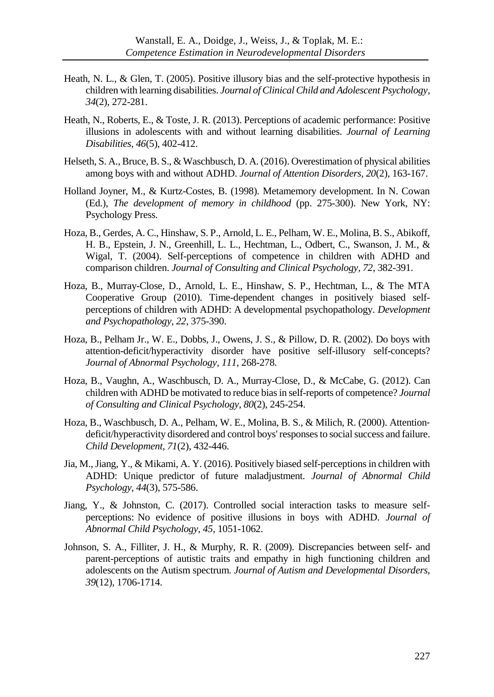- Heath, N. L., & Glen, T. (2005). Positive illusory bias and the self-protective hypothesis in children with learning disabilities. *Journal of Clinical Child and Adolescent Psychology, 34*(2), 272-281.
- Heath, N., Roberts, E., & Toste, J. R. (2013). Perceptions of academic performance: Positive illusions in adolescents with and without learning disabilities. *Journal of Learning Disabilities*, *46*(5), 402-412.
- Helseth, S. A., Bruce, B. S., & Waschbusch, D. A. (2016). Overestimation of physical abilities among boys with and without ADHD. *Journal of Attention Disorders, 20*(2), 163-167.
- Holland Joyner, M., & Kurtz-Costes, B. (1998). Metamemory development. In N. Cowan (Ed.), *The development of memory in childhood* (pp. 275-300). New York, NY: Psychology Press.
- Hoza, B., Gerdes, A. C., Hinshaw, S. P., Arnold, L. E., Pelham, W. E., Molina, B. S., Abikoff, H. B., Epstein, J. N., Greenhill, L. L., Hechtman, L., Odbert, C., Swanson, J. M., & Wigal, T. (2004). Self-perceptions of competence in children with ADHD and comparison children. *Journal of Consulting and Clinical Psychology, 72*, 382-391.
- Hoza, B., Murray-Close, D., Arnold, L. E., Hinshaw, S. P., Hechtman, L., & The MTA Cooperative Group (2010). Time-dependent changes in positively biased selfperceptions of children with ADHD: A developmental psychopathology. *Development and Psychopathology, 22*, 375-390.
- Hoza, B., Pelham Jr., W. E., Dobbs, J., Owens, J. S., & Pillow, D. R. (2002). Do boys with attention-deficit/hyperactivity disorder have positive self-illusory self-concepts? *Journal of Abnormal Psychology, 111*, 268-278.
- Hoza, B., Vaughn, A., Waschbusch, D. A., Murray-Close, D., & McCabe, G. (2012). Can children with ADHD be motivated to reduce bias in self-reports of competence? *Journal of Consulting and Clinical Psychology*, *80*(2), 245-254.
- Hoza, B., Waschbusch, D. A., Pelham, W. E., Molina, B. S., & Milich, R. (2000). Attention‐ deficit/hyperactivity disordered and control boys' responses to social success and failure. *Child Development*, *71*(2), 432-446.
- Jia, M., Jiang, Y., & Mikami, A. Y. (2016). Positively biased self-perceptions in children with ADHD: Unique predictor of future maladjustment. *Journal of Abnormal Child Psychology*, *44*(3), 575-586.
- Jiang, Y., & Johnston, C. (2017). Controlled social interaction tasks to measure selfperceptions: No evidence of positive illusions in boys with ADHD. *Journal of Abnormal Child Psychology, 45*, 1051-1062.
- Johnson, S. A., Filliter, J. H., & Murphy, R. R. (2009). Discrepancies between self- and parent-perceptions of autistic traits and empathy in high functioning children and adolescents on the Autism spectrum. *Journal of Autism and Developmental Disorders, 39*(12), 1706-1714.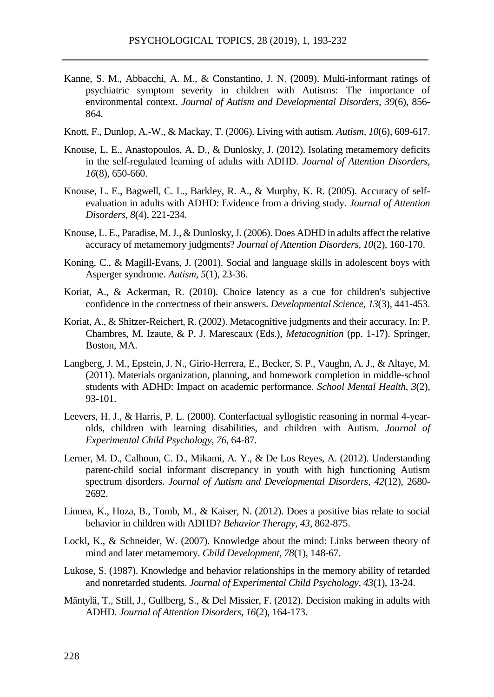- Kanne, S. M., Abbacchi, A. M., & Constantino, J. N. (2009). Multi-informant ratings of psychiatric symptom severity in children with Autisms: The importance of environmental context. *Journal of Autism and Developmental Disorders, 39*(6), 856- 864.
- Knott, F., Dunlop, A.-W., & Mackay, T. (2006). Living with autism. *Autism, 10*(6), 609-617.
- Knouse, L. E., Anastopoulos, A. D., & Dunlosky, J. (2012). Isolating metamemory deficits in the self-regulated learning of adults with ADHD. *Journal of Attention Disorders, 16*(8), 650-660.
- Knouse, L. E., Bagwell, C. L., Barkley, R. A., & Murphy, K. R. (2005). Accuracy of selfevaluation in adults with ADHD: Evidence from a driving study. *Journal of Attention Disorders*, *8*(4), 221-234.
- Knouse, L. E., Paradise, M. J., & Dunlosky, J. (2006). Does ADHD in adults affect the relative accuracy of metamemory judgments? *Journal of Attention Disorders, 10*(2), 160-170.
- Koning, C., & Magill-Evans, J. (2001). Social and language skills in adolescent boys with Asperger syndrome. *Autism, 5*(1), 23-36.
- Koriat, A., & Ackerman, R. (2010). Choice latency as a cue for children's subjective confidence in the correctness of their answers. *Developmental Science, 13*(3), 441-453.
- Koriat, A., & Shitzer-Reichert, R. (2002). Metacognitive judgments and their accuracy. In: P. Chambres, M. Izaute, & P. J. Marescaux (Eds.), *Metacognition* (pp. 1-17). Springer, Boston, MA.
- Langberg, J. M., Epstein, J. N., Girio-Herrera, E., Becker, S. P., Vaughn, A. J., & Altaye, M. (2011). Materials organization, planning, and homework completion in middle-school students with ADHD: Impact on academic performance. *School Mental Health*, *3*(2), 93-101.
- Leevers, H. J., & Harris, P. L. (2000). Conterfactual syllogistic reasoning in normal 4-yearolds, children with learning disabilities, and children with Autism. *Journal of Experimental Child Psychology, 76*, 64-87.
- Lerner, M. D., Calhoun, C. D., Mikami, A. Y., & De Los Reyes, A. (2012). Understanding parent-child social informant discrepancy in youth with high functioning Autism spectrum disorders. *Journal of Autism and Developmental Disorders, 42*(12), 2680- 2692.
- Linnea, K., Hoza, B., Tomb, M., & Kaiser, N. (2012). Does a positive bias relate to social behavior in children with ADHD? *Behavior Therapy, 43*, 862-875.
- Lockl, K., & Schneider, W. (2007). Knowledge about the mind: Links between theory of mind and later metamemory. *Child Development, 78*(1), 148-67.
- Lukose, S. (1987). Knowledge and behavior relationships in the memory ability of retarded and nonretarded students. *Journal of Experimental Child Psychology, 43*(1), 13-24.
- Mäntylä, T., Still, J., Gullberg, S., & Del Missier, F. (2012). Decision making in adults with ADHD*. Journal of Attention Disorders, 16*(2), 164-173.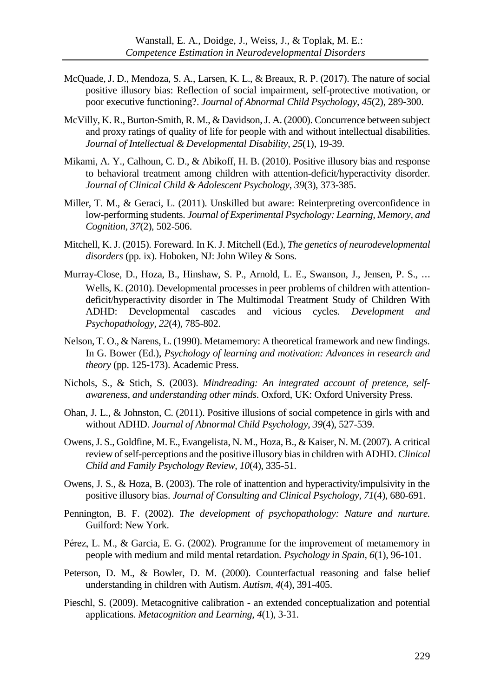- McQuade, J. D., Mendoza, S. A., Larsen, K. L., & Breaux, R. P. (2017). The nature of social positive illusory bias: Reflection of social impairment, self-protective motivation, or poor executive functioning?. *Journal of Abnormal Child Psychology*, *45*(2), 289-300.
- McVilly, K. R., Burton-Smith, R. M., & Davidson, J. A. (2000). Concurrence between subject and proxy ratings of quality of life for people with and without intellectual disabilities. *Journal of Intellectual & Developmental Disability, 25*(1), 19-39.
- Mikami, A. Y., Calhoun, C. D., & Abikoff, H. B. (2010). Positive illusory bias and response to behavioral treatment among children with attention-deficit/hyperactivity disorder. *Journal of Clinical Child & Adolescent Psychology*, *39*(3), 373-385.
- Miller, T. M., & Geraci, L. (2011). Unskilled but aware: Reinterpreting overconfidence in low-performing students. *Journal of Experimental Psychology: Learning, Memory, and Cognition, 37*(2), 502-506.
- Mitchell, K. J. (2015). Foreward. In K. J. Mitchell (Ed.), *The genetics of neurodevelopmental disorders* (pp. ix). Hoboken, NJ: John Wiley & Sons.
- Murray-Close, D., Hoza, B., Hinshaw, S. P., Arnold, L. E., Swanson, J., Jensen, P. S., ⋯ Wells, K. (2010). Developmental processes in peer problems of children with attentiondeficit/hyperactivity disorder in The Multimodal Treatment Study of Children With ADHD: Developmental cascades and vicious cycles. *Development and Psychopathology*, *22*(4), 785-802.
- Nelson, T. O., & Narens, L. (1990). Metamemory: A theoretical framework and new findings. In G. Bower (Ed.), *Psychology of learning and motivation: Advances in research and theory* (pp. 125-173). Academic Press.
- Nichols, S., & Stich, S. (2003). *Mindreading: An integrated account of pretence, selfawareness, and understanding other minds*. Oxford, UK: Oxford University Press.
- Ohan, J. L., & Johnston, C. (2011). Positive illusions of social competence in girls with and without ADHD. *Journal of Abnormal Child Psychology*, *39*(4), 527-539.
- Owens, J. S., Goldfine, M. E., Evangelista, N. M., Hoza, B., & Kaiser, N. M. (2007). A critical review of self-perceptions and the positive illusory bias in children with ADHD. *Clinical Child and Family Psychology Review, 10*(4), 335-51.
- Owens, J. S., & Hoza, B. (2003). The role of inattention and hyperactivity/impulsivity in the positive illusory bias. *Journal of Consulting and Clinical Psychology*, *71*(4), 680-691.
- Pennington, B. F. (2002). *The development of psychopathology: Nature and nurture.*  Guilford: New York.
- Pérez, L. M., & Garcia, E. G. (2002). Programme for the improvement of metamemory in people with medium and mild mental retardation*. Psychology in Spain, 6*(1), 96-101.
- Peterson, D. M., & Bowler, D. M. (2000). Counterfactual reasoning and false belief understanding in children with Autism. *Autism*, *4*(4), 391-405.
- Pieschl, S. (2009). Metacognitive calibration an extended conceptualization and potential applications. *Metacognition and Learning, 4*(1), 3-31.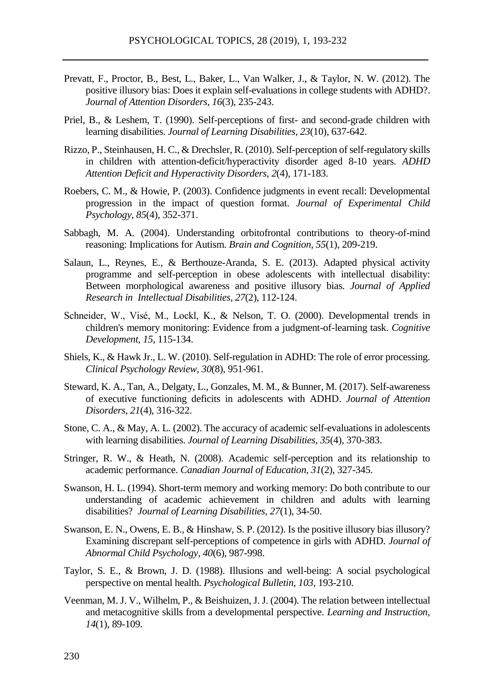- Prevatt, F., Proctor, B., Best, L., Baker, L., Van Walker, J., & Taylor, N. W. (2012). The positive illusory bias: Does it explain self-evaluations in college students with ADHD?. *Journal of Attention Disorders*, *16*(3), 235-243.
- Priel, B., & Leshem, T. (1990). Self-perceptions of first- and second-grade children with learning disabilities. *Journal of Learning Disabilities, 23*(10), 637-642.
- Rizzo, P., Steinhausen, H. C., & Drechsler, R. (2010). Self-perception of self-regulatory skills in children with attention-deficit/hyperactivity disorder aged 8-10 years. *ADHD Attention Deficit and Hyperactivity Disorders*, *2*(4), 171-183.
- Roebers, C. M., & Howie, P. (2003). Confidence judgments in event recall: Developmental progression in the impact of question format. *Journal of Experimental Child Psychology*, *85*(4), 352-371.
- Sabbagh, M. A. (2004). Understanding orbitofrontal contributions to theory-of-mind reasoning: Implications for Autism. *Brain and Cognition, 55*(1), 209-219.
- Salaun, L., Reynes, E., & Berthouze-Aranda, S. E. (2013). Adapted physical activity programme and self-perception in obese adolescents with intellectual disability: Between morphological awareness and positive illusory bias. *Journal of Applied Research in Intellectual Disabilities, 27*(2), 112-124.
- Schneider, W., Visé, M., Lockl, K., & Nelson, T. O. (2000). Developmental trends in children's memory monitoring: Evidence from a judgment-of-learning task. *Cognitive Development, 15*, 115-134.
- Shiels, K., & Hawk Jr., L. W. (2010). Self-regulation in ADHD: The role of error processing. *Clinical Psychology Review, 30*(8), 951-961.
- Steward, K. A., Tan, A., Delgaty, L., Gonzales, M. M., & Bunner, M. (2017). Self-awareness of executive functioning deficits in adolescents with ADHD. *Journal of Attention Disorders*, *21*(4), 316-322.
- Stone, C. A., & May, A. L. (2002). The accuracy of academic self-evaluations in adolescents with learning disabilities. *Journal of Learning Disabilities, 35*(4), 370-383.
- Stringer, R. W., & Heath, N. (2008). Academic self-perception and its relationship to academic performance. *Canadian Journal of Education, 31*(2), 327-345.
- Swanson, H. L. (1994). Short-term memory and working memory: Do both contribute to our understanding of academic achievement in children and adults with learning disabilities? *Journal of Learning Disabilities, 27*(1), 34-50.
- Swanson, E. N., Owens, E. B., & Hinshaw, S. P. (2012). Is the positive illusory bias illusory? Examining discrepant self-perceptions of competence in girls with ADHD. *Journal of Abnormal Child Psychology*, *40*(6), 987-998.
- Taylor, S. E., & Brown, J. D. (1988). Illusions and well-being: A social psychological perspective on mental health. *Psychological Bulletin, 103*, 193-210.
- Veenman, M. J. V., Wilhelm, P., & Beishuizen, J. J. (2004). The relation between intellectual and metacognitive skills from a developmental perspective. *Learning and Instruction, 14*(1), 89-109.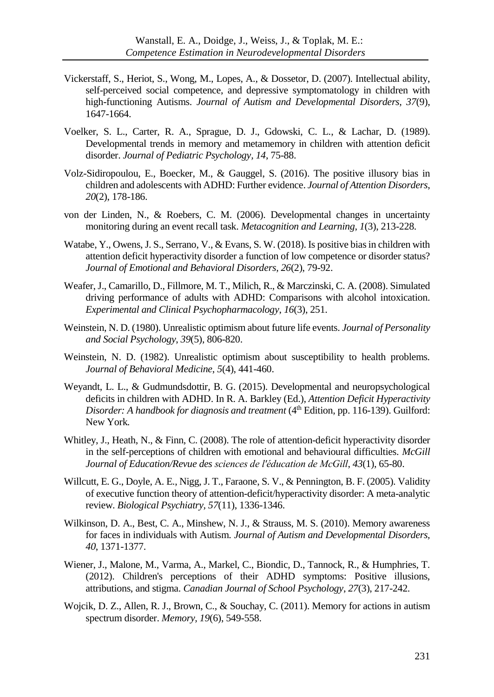- Vickerstaff, S., Heriot, S., Wong, M., Lopes, A., & Dossetor, D. (2007). Intellectual ability, self-perceived social competence, and depressive symptomatology in children with high-functioning Autisms. *Journal of Autism and Developmental Disorders, 37*(9), 1647-1664.
- Voelker, S. L., Carter, R. A., Sprague, D. J., Gdowski, C. L., & Lachar, D. (1989). Developmental trends in memory and metamemory in children with attention deficit disorder. *Journal of Pediatric Psychology, 14*, 75-88.
- Volz-Sidiropoulou, E., Boecker, M., & Gauggel, S. (2016). The positive illusory bias in children and adolescents with ADHD: Further evidence. *Journal of Attention Disorders*, *20*(2), 178-186.
- von der Linden, N., & Roebers, C. M. (2006). Developmental changes in uncertainty monitoring during an event recall task. *Metacognition and Learning*, *1*(3), 213-228.
- Watabe, Y., Owens, J. S., Serrano, V., & Evans, S. W. (2018). Is positive bias in children with attention deficit hyperactivity disorder a function of low competence or disorder status? *Journal of Emotional and Behavioral Disorders, 26*(2), 79-92.
- Weafer, J., Camarillo, D., Fillmore, M. T., Milich, R., & Marczinski, C. A. (2008). Simulated driving performance of adults with ADHD: Comparisons with alcohol intoxication. *Experimental and Clinical Psychopharmacology*, *16*(3), 251.
- Weinstein, N. D. (1980). Unrealistic optimism about future life events. *Journal of Personality and Social Psychology*, *39*(5), 806-820.
- Weinstein, N. D. (1982). Unrealistic optimism about susceptibility to health problems. *Journal of Behavioral Medicine*, *5*(4), 441-460.
- Weyandt, L. L., & Gudmundsdottir, B. G. (2015). Developmental and neuropsychological deficits in children with ADHD. In R. A. Barkley (Ed.), *Attention Deficit Hyperactivity Disorder: A handbook for diagnosis and treatment* (4<sup>th</sup> Edition, pp. 116-139). Guilford: New York*.*
- Whitley, J., Heath, N., & Finn, C. (2008). The role of attention-deficit hyperactivity disorder in the self-perceptions of children with emotional and behavioural difficulties. *McGill Journal of Education/Revue des sciences de l'éducation de McGill*, *43*(1), 65-80.
- Willcutt, E. G., Doyle, A. E., Nigg, J. T., Faraone, S. V., & Pennington, B. F. (2005). Validity of executive function theory of attention-deficit/hyperactivity disorder: A meta-analytic review. *Biological Psychiatry, 57*(11), 1336-1346.
- Wilkinson, D. A., Best, C. A., Minshew, N. J., & Strauss, M. S. (2010). Memory awareness for faces in individuals with Autism. *Journal of Autism and Developmental Disorders, 40*, 1371-1377.
- Wiener, J., Malone, M., Varma, A., Markel, C., Biondic, D., Tannock, R., & Humphries, T. (2012). Children's perceptions of their ADHD symptoms: Positive illusions, attributions, and stigma. *Canadian Journal of School Psychology*, *27*(3), 217-242.
- Wojcik, D. Z., Allen, R. J., Brown, C., & Souchay, C. (2011). Memory for actions in autism spectrum disorder. *Memory, 19*(6), 549-558.